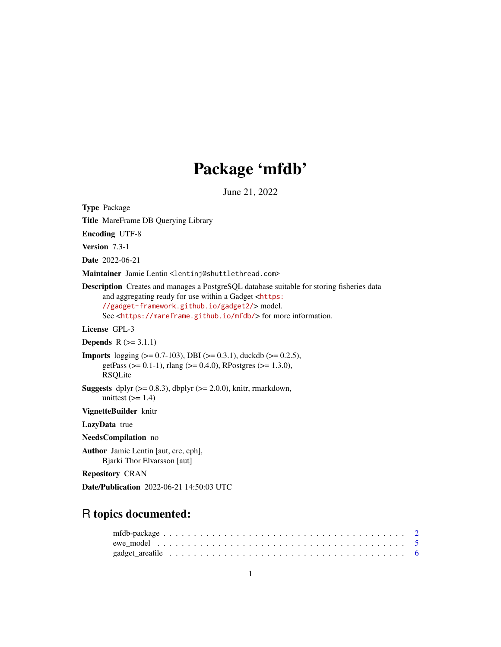# Package 'mfdb'

June 21, 2022

<span id="page-0-0"></span>Type Package

Title MareFrame DB Querying Library

Encoding UTF-8

Version 7.3-1

Date 2022-06-21

Maintainer Jamie Lentin <lentinj@shuttlethread.com>

Description Creates and manages a PostgreSQL database suitable for storing fisheries data and aggregating ready for use within a Gadget <[https:](https://gadget-framework.github.io/gadget2/) [//gadget-framework.github.io/gadget2/](https://gadget-framework.github.io/gadget2/)> model. See <<https://mareframe.github.io/mfdb/>> for more information.

License GPL-3

**Depends**  $R$  ( $> = 3.1.1$ )

```
Imports logging (>= 0.7-103), DBI (>= 0.3.1), duckdb (>= 0.2.5),
      getPass (> = 0.1-1), rlang (> = 0.4.0), RPostgres (> = 1.3.0),
      RSQLite
```
**Suggests** dplyr  $(>= 0.8.3)$ , dbplyr  $(>= 2.0.0)$ , knitr, rmarkdown, unittest  $(>= 1.4)$ 

VignetteBuilder knitr

LazyData true

NeedsCompilation no

Author Jamie Lentin [aut, cre, cph], Bjarki Thor Elvarsson [aut]

Repository CRAN

Date/Publication 2022-06-21 14:50:03 UTC

# R topics documented: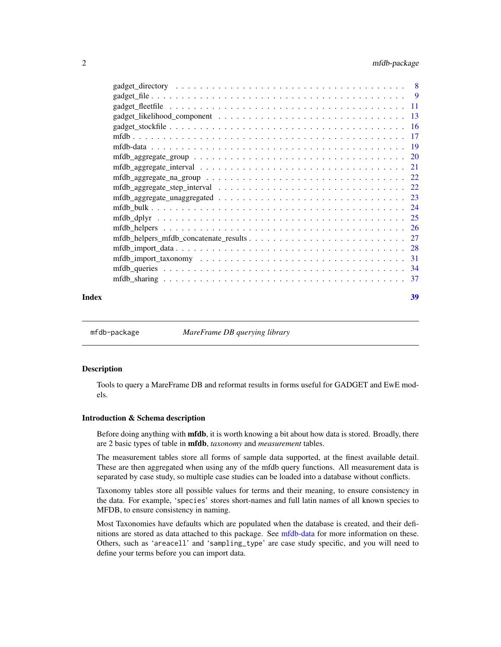# <span id="page-1-0"></span>2 mfdb-package

|       | $mfb_{\text{laggregate\_group}} \ldots \ldots \ldots \ldots \ldots \ldots \ldots \ldots \ldots \ldots \ldots \ldots 20$ |    |
|-------|-------------------------------------------------------------------------------------------------------------------------|----|
|       |                                                                                                                         |    |
|       |                                                                                                                         |    |
|       |                                                                                                                         |    |
|       |                                                                                                                         |    |
|       |                                                                                                                         |    |
|       |                                                                                                                         |    |
|       |                                                                                                                         |    |
|       |                                                                                                                         |    |
|       |                                                                                                                         |    |
|       |                                                                                                                         |    |
|       |                                                                                                                         |    |
|       |                                                                                                                         |    |
| Index |                                                                                                                         | 39 |

<span id="page-1-1"></span>mfdb-package *MareFrame DB querying library*

# Description

Tools to query a MareFrame DB and reformat results in forms useful for GADGET and EwE models.

# Introduction & Schema description

Before doing anything with **mfdb**, it is worth knowing a bit about how data is stored. Broadly, there are 2 basic types of table in mfdb, *taxonomy* and *measurement* tables.

The measurement tables store all forms of sample data supported, at the finest available detail. These are then aggregated when using any of the mfdb query functions. All measurement data is separated by case study, so multiple case studies can be loaded into a database without conflicts.

Taxonomy tables store all possible values for terms and their meaning, to ensure consistency in the data. For example, 'species' stores short-names and full latin names of all known species to MFDB, to ensure consistency in naming.

Most Taxonomies have defaults which are populated when the database is created, and their definitions are stored as data attached to this package. See [mfdb-data](#page-18-1) for more information on these. Others, such as 'areacell' and 'sampling\_type' are case study specific, and you will need to define your terms before you can import data.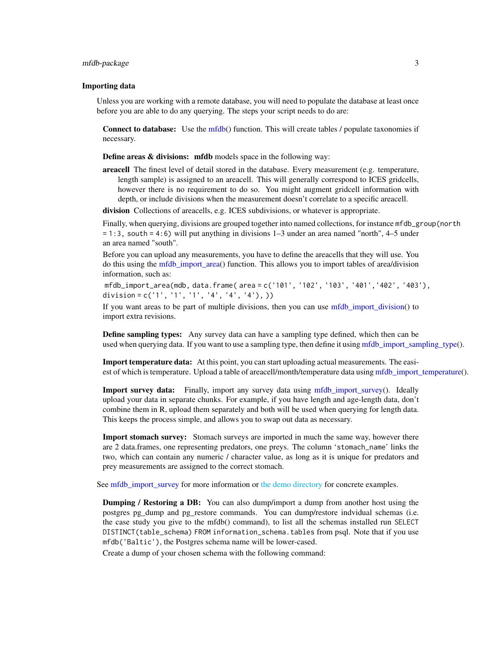# <span id="page-2-0"></span>mfdb-package 3

#### Importing data

Unless you are working with a remote database, you will need to populate the database at least once before you are able to do any querying. The steps your script needs to do are:

Connect to database: Use the [mfdb\(](#page-16-1)) function. This will create tables / populate taxonomies if necessary.

Define areas & divisions: mfdb models space in the following way:

areacell The finest level of detail stored in the database. Every measurement (e.g. temperature, length sample) is assigned to an areacell. This will generally correspond to ICES gridcells, however there is no requirement to do so. You might augment gridcell information with depth, or include divisions when the measurement doesn't correlate to a specific areacell.

division Collections of areacells, e.g. ICES subdivisions, or whatever is appropriate.

Finally, when querying, divisions are grouped together into named collections, for instance mfdb\_group(north = 1:3, south = 4:6) will put anything in divisions 1–3 under an area named "north", 4–5 under an area named "south".

Before you can upload any measurements, you have to define the areacells that they will use. You do this using the [mfdb\\_import\\_area\(](#page-30-1)) function. This allows you to import tables of area/division information, such as:

mfdb\_import\_area(mdb, data.frame( area = c('101', '102', '103', '401','402', '403'), division =  $c('1', '1', '1', '4', '4', '4'))$ 

If you want areas to be part of multiple divisions, then you can use [mfdb\\_import\\_division\(](#page-30-1)) to import extra revisions.

Define sampling types: Any survey data can have a sampling type defined, which then can be used when querying data. If you want to use a sampling type, then define it using [mfdb\\_import\\_sampling\\_type\(](#page-30-1)).

Import temperature data: At this point, you can start uploading actual measurements. The easiest of which is temperature. Upload a table of areacell/month/temperature data using [mfdb\\_import\\_temperature\(](#page-27-1)).

Import survey data: Finally, import any survey data using mfdb import survey(). Ideally upload your data in separate chunks. For example, if you have length and age-length data, don't combine them in R, upload them separately and both will be used when querying for length data. This keeps the process simple, and allows you to swap out data as necessary.

Import stomach survey: Stomach surveys are imported in much the same way, however there are 2 data.frames, one representing predators, one preys. The column 'stomach\_name' links the two, which can contain any numeric / character value, as long as it is unique for predators and prey measurements are assigned to the correct stomach.

See [mfdb\\_import\\_survey](#page-27-1) for more information or [the demo directory](#page-0-0) for concrete examples.

Dumping / Restoring a DB: You can also dump/import a dump from another host using the postgres pg\_dump and pg\_restore commands. You can dump/restore indvidual schemas (i.e. the case study you give to the mfdb() command), to list all the schemas installed run SELECT DISTINCT(table\_schema) FROM information\_schema.tables from psql. Note that if you use mfdb('Baltic'), the Postgres schema name will be lower-cased.

Create a dump of your chosen schema with the following command: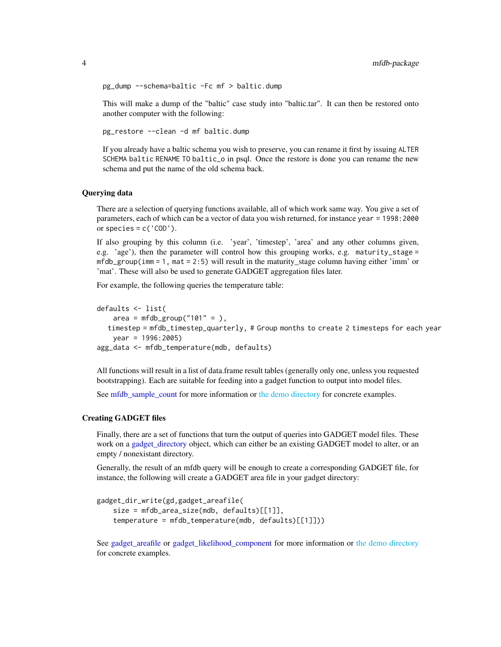```
pg_dump --schema=baltic -Fc mf > baltic.dump
```
This will make a dump of the "baltic" case study into "baltic.tar". It can then be restored onto another computer with the following:

pg\_restore --clean -d mf baltic.dump

If you already have a baltic schema you wish to preserve, you can rename it first by issuing ALTER SCHEMA baltic RENAME TO baltic\_o in psql. Once the restore is done you can rename the new schema and put the name of the old schema back.

# Querying data

There are a selection of querying functions available, all of which work same way. You give a set of parameters, each of which can be a vector of data you wish returned, for instance year = 1998:2000 or species =  $c('COD')$ .

If also grouping by this column (i.e. 'year', 'timestep', 'area' and any other columns given, e.g. 'age'), then the parameter will control how this grouping works, e.g. maturity\_stage =  $mfdb_group(imm = 1$ ,  $mat = 2:5$ ) will result in the maturity\_stage column having either 'imm' or 'mat'. These will also be used to generate GADGET aggregation files later.

For example, the following queries the temperature table:

```
defaults <- list(
   area = mfdb_group("101" = ),timestep = mfdb_timestep_quarterly, # Group months to create 2 timesteps for each year
   year = 1996:2005)
agg_data <- mfdb_temperature(mdb, defaults)
```
All functions will result in a list of data.frame result tables (generally only one, unless you requested bootstrapping). Each are suitable for feeding into a gadget function to output into model files.

See [mfdb\\_sample\\_count](#page-33-1) for more information or [the demo directory](#page-0-0) for concrete examples.

# Creating GADGET files

Finally, there are a set of functions that turn the output of queries into GADGET model files. These work on a [gadget\\_directory](#page-7-1) object, which can either be an existing GADGET model to alter, or an empty / nonexistant directory.

Generally, the result of an mfdb query will be enough to create a corresponding GADGET file, for instance, the following will create a GADGET area file in your gadget directory:

```
gadget_dir_write(gd,gadget_areafile(
   size = mfdb_area_size(mdb, defaults)[[1]],
   temperature = mfdb_temperature(mdb, defaults)[[1]]))
```
See [gadget\\_areafile](#page-5-1) or [gadget\\_likelihood\\_component](#page-12-1) for more information or [the demo directory](#page-0-0) for concrete examples.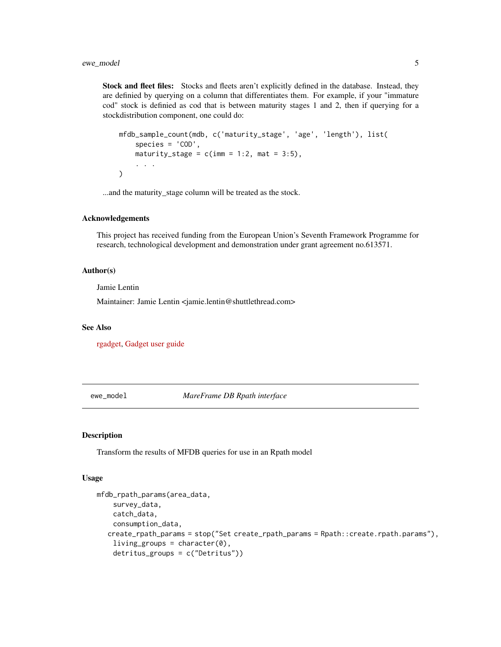<span id="page-4-0"></span>Stock and fleet files: Stocks and fleets aren't explicitly defined in the database. Instead, they are definied by querying on a column that differentiates them. For example, if your "immature cod" stock is definied as cod that is between maturity stages 1 and 2, then if querying for a stockdistribution component, one could do:

```
mfdb_sample_count(mdb, c('maturity_stage', 'age', 'length'), list(
    species = 'COD',
   maturity_stage = c(imm = 1:2, mat = 3:5),
    . . .
)
```
...and the maturity\_stage column will be treated as the stock.

#### Acknowledgements

This project has received funding from the European Union's Seventh Framework Programme for research, technological development and demonstration under grant agreement no.613571.

#### Author(s)

Jamie Lentin

Maintainer: Jamie Lentin <jamie.lentin@shuttlethread.com>

#### See Also

[rgadget,](https://github.com/gadget-framework/rgadget) [Gadget user guide](https://gadget-framework.github.io/gadget2/userguide/)

ewe\_model *MareFrame DB Rpath interface*

# Description

Transform the results of MFDB queries for use in an Rpath model

# Usage

```
mfdb_rpath_params(area_data,
    survey_data,
    catch_data,
    consumption_data,
  create_rpath_params = stop("Set create_rpath_params = Rpath::create.rpath.params"),
    living\_groups = character(0),
    detritus_groups = c("Detritus"))
```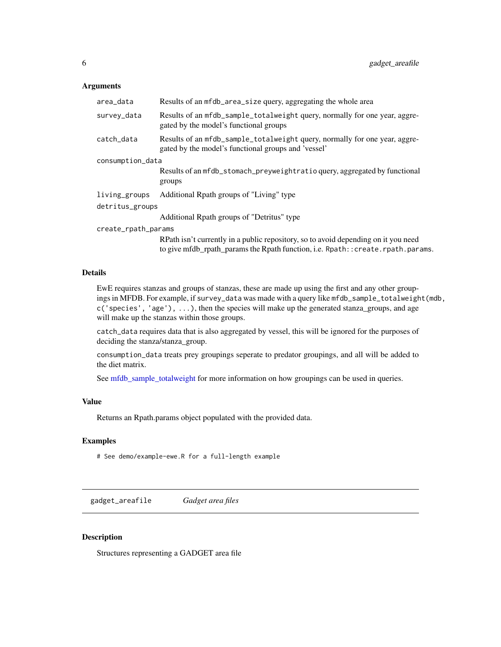# <span id="page-5-0"></span>**Arguments**

| area_data           | Results of an mfdb_area_size query, aggregating the whole area                                                                                                        |
|---------------------|-----------------------------------------------------------------------------------------------------------------------------------------------------------------------|
| survey_data         | Results of an mfdb_sample_totalweight query, normally for one year, aggre-<br>gated by the model's functional groups                                                  |
| catch_data          | Results of an mfdb_sample_totalweight query, normally for one year, aggre-<br>gated by the model's functional groups and 'vessel'                                     |
| consumption_data    |                                                                                                                                                                       |
|                     | Results of an mfdb_stomach_preyweightratio query, aggregated by functional<br>groups                                                                                  |
| living_groups       | Additional Rpath groups of "Living" type                                                                                                                              |
| detritus_groups     |                                                                                                                                                                       |
|                     | Additional Rpath groups of "Detritus" type                                                                                                                            |
| create_rpath_params |                                                                                                                                                                       |
|                     | RPath isn't currently in a public repository, so to avoid depending on it you need<br>to give mfdb_rpath_params the Rpath function, i.e. Rpath:: create.rpath.params. |

# Details

EwE requires stanzas and groups of stanzas, these are made up using the first and any other groupings in MFDB. For example, if survey\_data was made with a query like mfdb\_sample\_totalweight(mdb,  $c('species', 'age'), \ldots$ , then the species will make up the generated stanza\_groups, and age will make up the stanzas within those groups.

catch\_data requires data that is also aggregated by vessel, this will be ignored for the purposes of deciding the stanza/stanza\_group.

consumption\_data treats prey groupings seperate to predator groupings, and all will be added to the diet matrix.

See [mfdb\\_sample\\_totalweight](#page-33-1) for more information on how groupings can be used in queries.

# Value

Returns an Rpath.params object populated with the provided data.

# Examples

# See demo/example-ewe.R for a full-length example

<span id="page-5-1"></span>gadget\_areafile *Gadget area files*

# Description

Structures representing a GADGET area file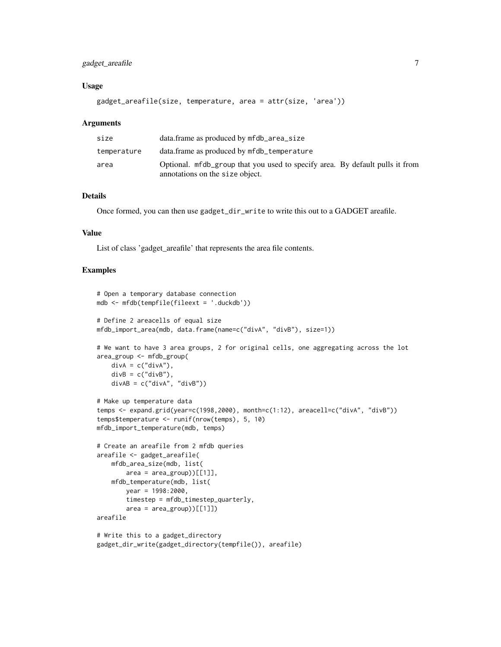# gadget\_areafile 7

# Usage

gadget\_areafile(size, temperature, area = attr(size, 'area'))

#### Arguments

| size        | data.frame as produced by mfdb_area_size                                                                        |
|-------------|-----------------------------------------------------------------------------------------------------------------|
| temperature | data.frame as produced by mfdb_temperature                                                                      |
| area        | Optional. mfdb_group that you used to specify area. By default pulls it from<br>annotations on the size object. |

# Details

Once formed, you can then use gadget\_dir\_write to write this out to a GADGET areafile.

# Value

List of class 'gadget\_areafile' that represents the area file contents.

```
# Open a temporary database connection
mdb <- mfdb(tempfile(fileext = '.duckdb'))
# Define 2 areacells of equal size
mfdb_import_area(mdb, data.frame(name=c("divA", "divB"), size=1))
# We want to have 3 area groups, 2 for original cells, one aggregating across the lot
area_group <- mfdb_group(
   div A = c("div A"),divB = c("divB"),
   divAB = c("divA", "divB")# Make up temperature data
temps <- expand.grid(year=c(1998,2000), month=c(1:12), areacell=c("divA", "divB"))
temps$temperature <- runif(nrow(temps), 5, 10)
mfdb_import_temperature(mdb, temps)
# Create an areafile from 2 mfdb queries
areafile <- gadget_areafile(
    mfdb_area_size(mdb, list(
       area = area\_group)[[1]],
   mfdb_temperature(mdb, list(
       year = 1998:2000,timestep = mfdb_timestep_quarterly,
        area = area\_group)[[1]])
areafile
# Write this to a gadget_directory
gadget_dir_write(gadget_directory(tempfile()), areafile)
```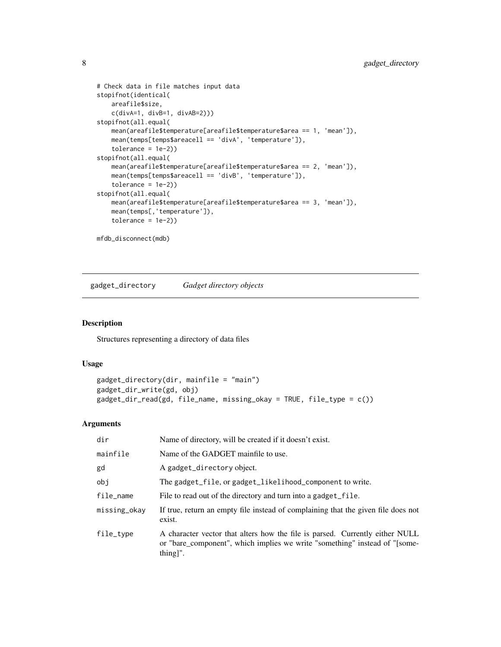```
# Check data in file matches input data
stopifnot(identical(
   areafile$size,
   c(divA=1, divB=1, divAB=2)))
stopifnot(all.equal(
   mean(areafile$temperature[areafile$temperature$area == 1, 'mean']),
   mean(temps[temps$areacell == 'divA', 'temperature']),
    tolerance = 1e-2)stopifnot(all.equal(
   mean(areafile$temperature[areafile$temperature$area == 2, 'mean']),
   mean(temps[temps$areacell == 'divB', 'temperature']),
    tolerance = 1e-2))
stopifnot(all.equal(
   mean(areafile$temperature[areafile$temperature$area == 3, 'mean']),
   mean(temps[,'temperature']),
    tolerance = 1e-2)mfdb_disconnect(mdb)
```
<span id="page-7-1"></span>gadget\_directory *Gadget directory objects*

# Description

Structures representing a directory of data files

# Usage

```
gadget_directory(dir, mainfile = "main")
gadget_dir_write(gd, obj)
gadget_dir_read(gd, file_name, missing_okay = TRUE, file_type = c())
```
# Arguments

| dir          | Name of directory, will be created if it doesn't exist.                                                                                                                |
|--------------|------------------------------------------------------------------------------------------------------------------------------------------------------------------------|
| mainfile     | Name of the GADGET mainfile to use.                                                                                                                                    |
| gd           | A gadget_directory object.                                                                                                                                             |
| obi          | The gadget_file, or gadget_likelihood_component to write.                                                                                                              |
| file_name    | File to read out of the directory and turn into a gadget_file.                                                                                                         |
| missing_okay | If true, return an empty file instead of complaining that the given file does not<br>exist.                                                                            |
| file_type    | A character vector that alters how the file is parsed. Currently either NULL<br>or "bare_component", which implies we write "something" instead of "[some-<br>thing]". |

<span id="page-7-0"></span>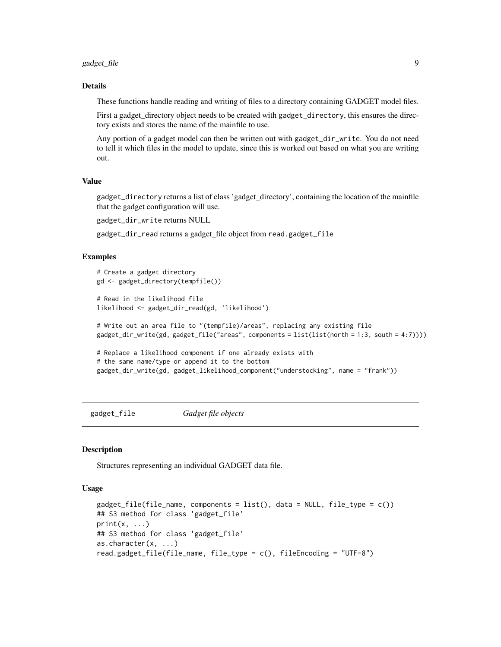# <span id="page-8-0"></span>gadget\_file 9

#### Details

These functions handle reading and writing of files to a directory containing GADGET model files.

First a gadget\_directory object needs to be created with gadget\_directory, this ensures the directory exists and stores the name of the mainfile to use.

Any portion of a gadget model can then be written out with gadget\_dir\_write. You do not need to tell it which files in the model to update, since this is worked out based on what you are writing out.

# Value

gadget\_directory returns a list of class 'gadget\_directory', containing the location of the mainfile that the gadget configuration will use.

gadget\_dir\_write returns NULL

gadget\_dir\_read returns a gadget\_file object from read.gadget\_file

# Examples

```
# Create a gadget directory
gd <- gadget_directory(tempfile())
# Read in the likelihood file
likelihood <- gadget_dir_read(gd, 'likelihood')
# Write out an area file to "(tempfile)/areas", replacing any existing file
gadget_dir_write(gd, gadget_file("areas", components = list(list(north = 1:3, south = 4:7))))
# Replace a likelihood component if one already exists with
# the same name/type or append it to the bottom
gadget_dir_write(gd, gadget_likelihood_component("understocking", name = "frank"))
```
gadget\_file *Gadget file objects*

# **Description**

Structures representing an individual GADGET data file.

# Usage

```
gadget_file(file_name, components = list(), data = NULL, file_type = c())
## S3 method for class 'gadget_file'
print(x, \ldots)## S3 method for class 'gadget_file'
as.character(x, ...)
read.gadget_file(file_name, file_type = c(), fileEncoding = "UTF-8")
```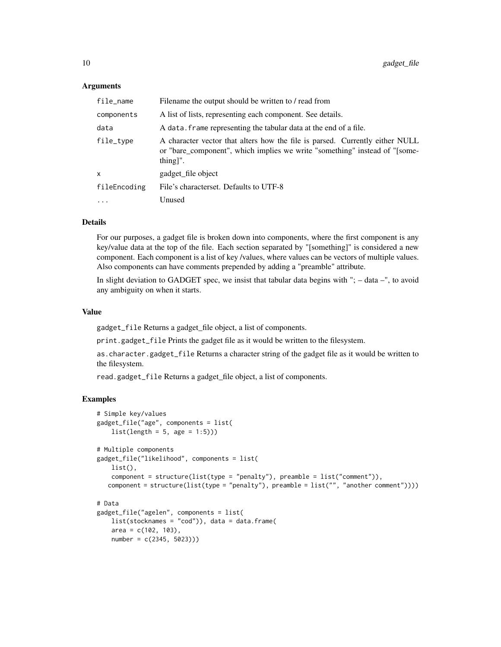#### Arguments

| file_name    | Filename the output should be written to / read from                                                                                                                   |
|--------------|------------------------------------------------------------------------------------------------------------------------------------------------------------------------|
| components   | A list of lists, representing each component. See details.                                                                                                             |
| data         | A data. frame representing the tabular data at the end of a file.                                                                                                      |
| file_type    | A character vector that alters how the file is parsed. Currently either NULL<br>or "bare_component", which implies we write "something" instead of "[some-<br>thing]". |
| X            | gadget file object                                                                                                                                                     |
| fileEncoding | File's characterset. Defaults to UTF-8                                                                                                                                 |
| $\cdots$     | Unused                                                                                                                                                                 |
|              |                                                                                                                                                                        |

# Details

For our purposes, a gadget file is broken down into components, where the first component is any key/value data at the top of the file. Each section separated by "[something]" is considered a new component. Each component is a list of key /values, where values can be vectors of multiple values. Also components can have comments prepended by adding a "preamble" attribute.

In slight deviation to GADGET spec, we insist that tabular data begins with "; – data –", to avoid any ambiguity on when it starts.

#### Value

gadget\_file Returns a gadget\_file object, a list of components.

print.gadget\_file Prints the gadget file as it would be written to the filesystem.

as.character.gadget\_file Returns a character string of the gadget file as it would be written to the filesystem.

read.gadget\_file Returns a gadget\_file object, a list of components.

```
# Simple key/values
gadget_file("age", components = list(
   list(length = 5, age = 1:5)))# Multiple components
gadget_file("likelihood", components = list(
   list(),
    component = structure(list(type = "penalty"), preamble = list("comment")),
   component = structure(list(type = "penalty"), preamble = list("", "another comment"))))
# Data
gadget_file("agelen", components = list(
    list(stocknames = "cod")), data = data.frame(
    area = c(102, 103),
   number = c(2345, 5023)))
```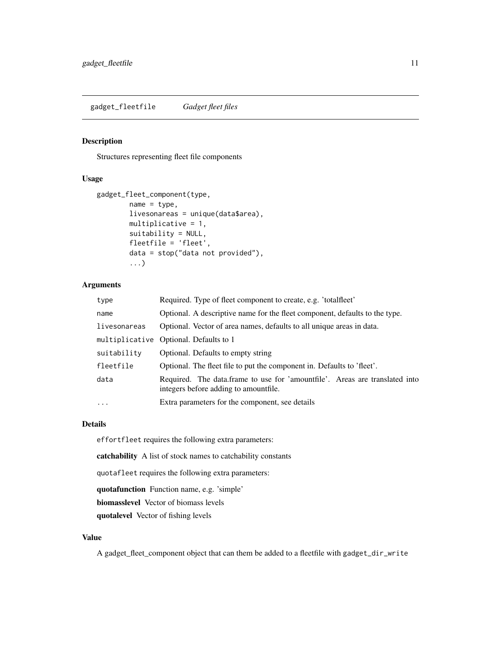# <span id="page-10-0"></span>Description

Structures representing fleet file components

# Usage

```
gadget_fleet_component(type,
       name = type,livesonareas = unique(data$area),
       multiplicative = 1,
       suitability = NULL,
       fleetfile = 'fleet',
       data = stop("data not provided"),
        ...)
```
# Arguments

| type         | Required. Type of fleet component to create, e.g. 'totalfleet'                                                       |
|--------------|----------------------------------------------------------------------------------------------------------------------|
| name         | Optional. A descriptive name for the fleet component, defaults to the type.                                          |
| livesonareas | Optional. Vector of area names, defaults to all unique areas in data.                                                |
|              | multiplicative Optional. Defaults to 1                                                                               |
| suitability  | Optional. Defaults to empty string                                                                                   |
| fleetfile    | Optional. The fleet file to put the component in. Defaults to 'fleet'.                                               |
| data         | Required. The data frame to use for 'amountfile'. Areas are translated into<br>integers before adding to amountfile. |
| $\ddots$     | Extra parameters for the component, see details                                                                      |

#### Details

effortfleet requires the following extra parameters:

catchability A list of stock names to catchability constants

quotafleet requires the following extra parameters:

quotafunction Function name, e.g. 'simple'

biomasslevel Vector of biomass levels

quotalevel Vector of fishing levels

# Value

A gadget\_fleet\_component object that can them be added to a fleetfile with gadget\_dir\_write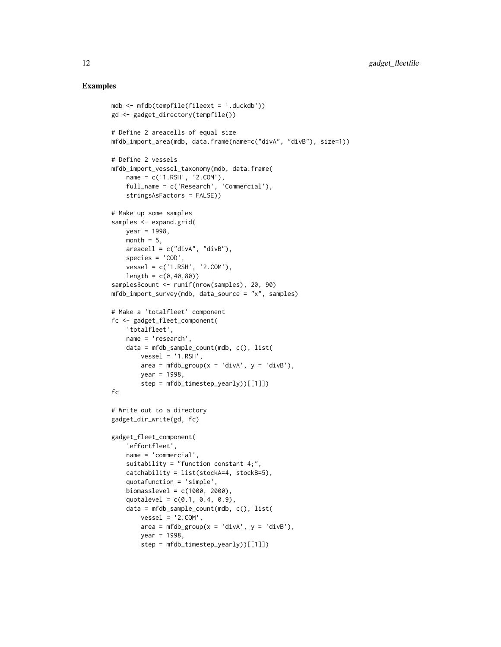```
mdb <- mfdb(tempfile(fileext = '.duckdb'))
gd <- gadget_directory(tempfile())
# Define 2 areacells of equal size
mfdb_import_area(mdb, data.frame(name=c("divA", "divB"), size=1))
# Define 2 vessels
mfdb_import_vessel_taxonomy(mdb, data.frame(
    name = c('1.RSH', '2.COM'),
    full_name = c('Research', 'Commercial'),
    stringsAsFactors = FALSE))
# Make up some samples
samples <- expand.grid(
   year = 1998,month = 5,
   areacell = c("divA", "divB"),species = 'COD',
    vessel = c('1.RSH', '2.COM'),
   length = c(0, 40, 80)samples$count <- runif(nrow(samples), 20, 90)
mfdb_import_survey(mdb, data_source = "x", samples)
# Make a 'totalfleet' component
fc <- gadget_fleet_component(
   'totalfleet',
   name = 'research',
    data = mfdb_sample_count(mdb, c(), list(
       vessel = '1.RSH',
       area = mfdb_group(x = 'divA', y = 'divB'),year = 1998,
        step = mfdb_timestep_yearly))[[1]])
fc
# Write out to a directory
gadget_dir_write(gd, fc)
gadget_fleet_component(
    'effortfleet',
    name = 'commercial',
    suitability = "function constant 4;",
    catchability = list(stockA=4, stockB=5),
    quotafunction = 'simple',
    biomasslevel = c(1000, 2000),
    quotalevel = c(0.1, 0.4, 0.9),
    data = mfdb_sample_count(mdb, c(), list(
       vessel = '2.COM',area = mfdb_group(x = 'divA', y = 'divB'),year = 1998,
        step = mfdb_timestep_yearly))[[1]])
```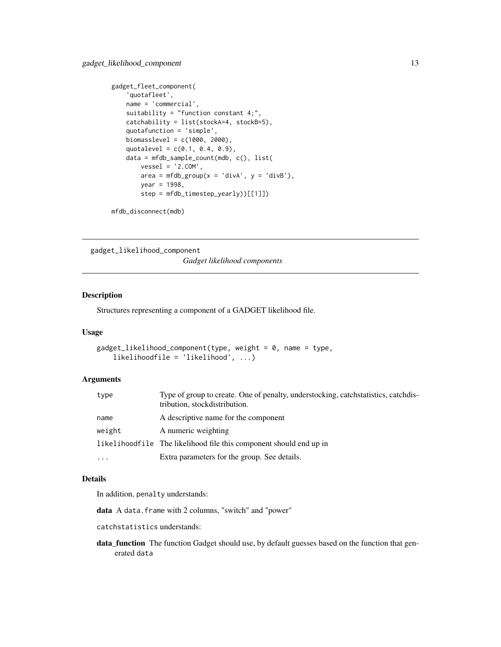```
gadget_fleet_component(
    'quotafleet',
   name = 'commercial',
   suitability = "function constant 4;",
   catchability = list(stockA=4, stockB=5),
   quotafunction = 'simple',
   biomasslevel = c(1000, 2000),
    quotalevel = c(0.1, 0.4, 0.9),
    data = mfdb_sample_count(mdb, c(), list(
        vessel = '2.COM',
        area = mfdb_group(x = 'divA', y = 'divB'),year = 1998,
        step = mfdb_timestep_yearly))[[1]])
```

```
mfdb_disconnect(mdb)
```
<span id="page-12-1"></span>gadget\_likelihood\_component

*Gadget likelihood components*

# Description

Structures representing a component of a GADGET likelihood file.

# Usage

```
gadget_likelihood_component(type, weight = \theta, name = type,
    likelihoodfile = 'likelihood', ...)
```
# **Arguments**

| type      | Type of group to create. One of penalty, understocking, catchstatistics, catchdis-<br>tribution, stock distribution. |
|-----------|----------------------------------------------------------------------------------------------------------------------|
| name      | A descriptive name for the component                                                                                 |
| weight    | A numeric weighting                                                                                                  |
|           | likelihood file The likelihood file this component should end up in                                                  |
| $\ddotsc$ | Extra parameters for the group. See details.                                                                         |

# Details

In addition, penalty understands:

data A data.frame with 2 columns, "switch" and "power"

catchstatistics understands:

data\_function The function Gadget should use, by default guesses based on the function that generated data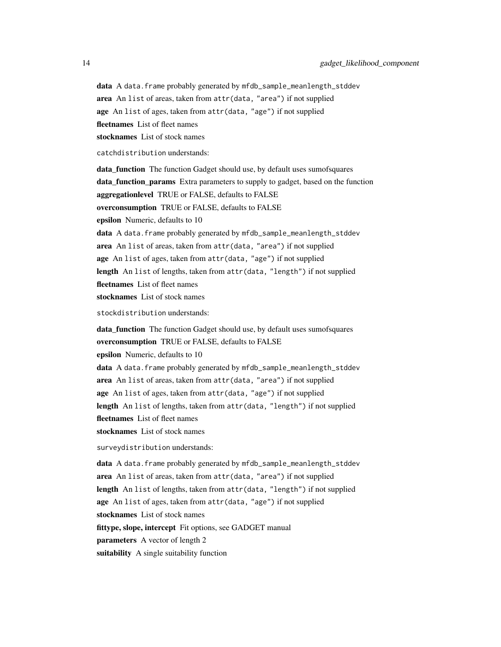data A data.frame probably generated by mfdb\_sample\_meanlength\_stddev

area An list of areas, taken from attr(data, "area") if not supplied

age An list of ages, taken from attr(data, "age") if not supplied

fleetnames List of fleet names

stocknames List of stock names

catchdistribution understands:

data\_function The function Gadget should use, by default uses sumofsquares data\_function\_params Extra parameters to supply to gadget, based on the function aggregationlevel TRUE or FALSE, defaults to FALSE

overconsumption TRUE or FALSE, defaults to FALSE

epsilon Numeric, defaults to 10

data A data.frame probably generated by mfdb\_sample\_meanlength\_stddev area An list of areas, taken from attr(data, "area") if not supplied age An list of ages, taken from attr(data, "age") if not supplied length An list of lengths, taken from attr(data, "length") if not supplied fleetnames List of fleet names stocknames List of stock names

stockdistribution understands:

data\_function The function Gadget should use, by default uses sumofsquares overconsumption TRUE or FALSE, defaults to FALSE epsilon Numeric, defaults to 10 data A data.frame probably generated by mfdb\_sample\_meanlength\_stddev area An list of areas, taken from attr(data, "area") if not supplied age An list of ages, taken from attr(data, "age") if not supplied length An list of lengths, taken from attr(data, "length") if not supplied fleetnames List of fleet names stocknames List of stock names

surveydistribution understands:

data A data.frame probably generated by mfdb\_sample\_meanlength\_stddev area An list of areas, taken from attr(data, "area") if not supplied length An list of lengths, taken from attr(data, "length") if not supplied age An list of ages, taken from attr(data, "age") if not supplied stocknames List of stock names fittype, slope, intercept Fit options, see GADGET manual parameters A vector of length 2 suitability A single suitability function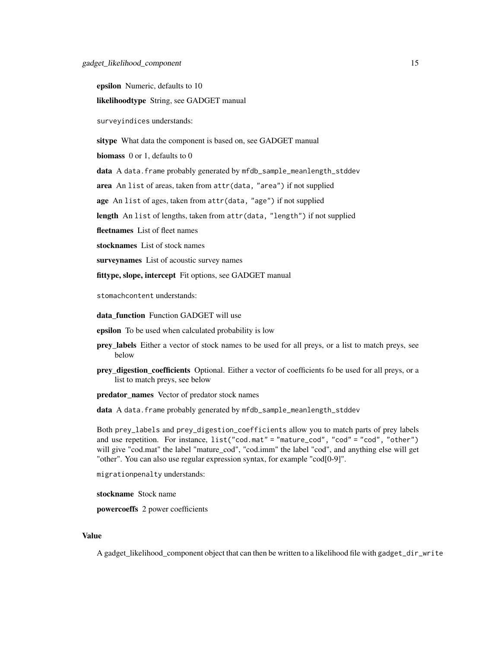epsilon Numeric, defaults to 10

likelihoodtype String, see GADGET manual

surveyindices understands:

sitype What data the component is based on, see GADGET manual

biomass 0 or 1, defaults to 0

data A data.frame probably generated by mfdb\_sample\_meanlength\_stddev

area An list of areas, taken from attr(data, "area") if not supplied

age An list of ages, taken from attr(data, "age") if not supplied

length An list of lengths, taken from attr(data, "length") if not supplied

fleetnames List of fleet names

stocknames List of stock names

surveynames List of acoustic survey names

fittype, slope, intercept Fit options, see GADGET manual

stomachcontent understands:

data function Function GADGET will use

epsilon To be used when calculated probability is low

- prey\_labels Either a vector of stock names to be used for all preys, or a list to match preys, see below
- prey\_digestion\_coefficients Optional. Either a vector of coefficients fo be used for all preys, or a list to match preys, see below

predator\_names Vector of predator stock names

data A data.frame probably generated by mfdb\_sample\_meanlength\_stddev

Both prey\_labels and prey\_digestion\_coefficients allow you to match parts of prey labels and use repetition. For instance, list("cod.mat" = "mature\_cod", "cod" = "cod", "other") will give "cod.mat" the label "mature\_cod", "cod.imm" the label "cod", and anything else will get "other". You can also use regular expression syntax, for example "cod[0-9]".

migrationpenalty understands:

stockname Stock name

powercoeffs 2 power coefficients

# Value

A gadget\_likelihood\_component object that can then be written to a likelihood file with gadget\_dir\_write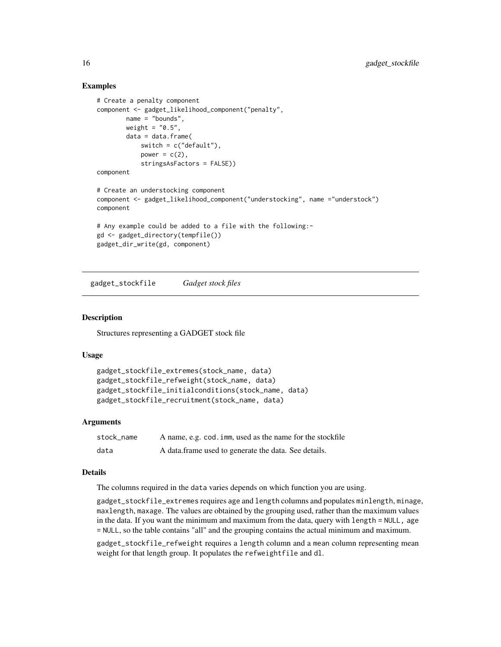# Examples

```
# Create a penalty component
component <- gadget_likelihood_component("penalty",
       name = "bounds",
       weight = "0.5",
       data = data.frame(
           switch = c("default"),power = c(2),
            stringsAsFactors = FALSE))
component
# Create an understocking component
component <- gadget_likelihood_component("understocking", name ="understock")
component
# Any example could be added to a file with the following:-
gd <- gadget_directory(tempfile())
gadget_dir_write(gd, component)
```
gadget\_stockfile *Gadget stock files*

# **Description**

Structures representing a GADGET stock file

#### Usage

```
gadget_stockfile_extremes(stock_name, data)
gadget_stockfile_refweight(stock_name, data)
gadget_stockfile_initialconditions(stock_name, data)
gadget_stockfile_recruitment(stock_name, data)
```
# Arguments

| stock name | A name, e.g. cod. imm, used as the name for the stockfile |
|------------|-----------------------------------------------------------|
| data       | A data frame used to generate the data. See details.      |

# Details

The columns required in the data varies depends on which function you are using.

gadget\_stockfile\_extremes requires age and length columns and populates minlength, minage, maxlength, maxage. The values are obtained by the grouping used, rather than the maximum values in the data. If you want the minimum and maximum from the data, query with length = NULL, age = NULL, so the table contains "all" and the grouping contains the actual minimum and maximum.

gadget\_stockfile\_refweight requires a length column and a mean column representing mean weight for that length group. It populates the refweightfile and dl.

<span id="page-15-0"></span>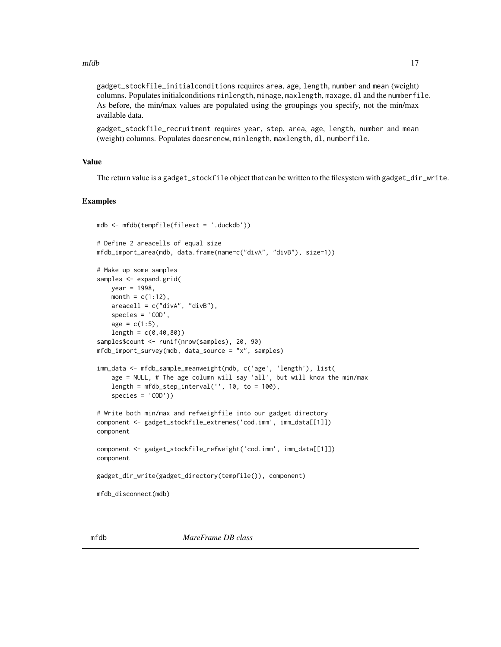<span id="page-16-0"></span>gadget\_stockfile\_initialconditions requires area, age, length, number and mean (weight) columns. Populates initialconditions minlength, minage, maxlength, maxage, dl and the numberfile. As before, the min/max values are populated using the groupings you specify, not the min/max available data.

gadget\_stockfile\_recruitment requires year, step, area, age, length, number and mean (weight) columns. Populates doesrenew, minlength, maxlength, dl, numberfile.

# Value

The return value is a gadget\_stockfile object that can be written to the filesystem with gadget\_dir\_write.

```
mdb <- mfdb(tempfile(fileext = '.duckdb'))
# Define 2 areacells of equal size
mfdb_import_area(mdb, data.frame(name=c("divA", "divB"), size=1))
# Make up some samples
samples <- expand.grid(
   year = 1998,
   month = c(1:12),
    areacell = c("divA", "divB"),species = 'COD',
   age = c(1:5),
   length = c(0, 40, 80)samples$count <- runif(nrow(samples), 20, 90)
mfdb_import_survey(mdb, data_source = "x", samples)
imm_data <- mfdb_sample_meanweight(mdb, c('age', 'length'), list(
    age = NULL, # The age column will say 'all', but will know the min/max
    length = mfdb_step_interval('', 10, to = 100),
    species = 'COD'))
# Write both min/max and refweighfile into our gadget directory
component <- gadget_stockfile_extremes('cod.imm', imm_data[[1]])
component
component <- gadget_stockfile_refweight('cod.imm', imm_data[[1]])
component
gadget_dir_write(gadget_directory(tempfile()), component)
mfdb_disconnect(mdb)
```
<span id="page-16-1"></span>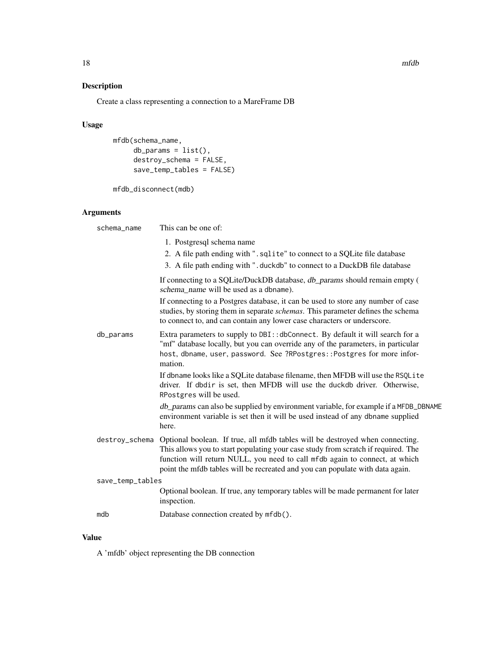# Description

Create a class representing a connection to a MareFrame DB

# Usage

```
mfdb(schema_name,
     db_arams = list(),
     destroy_schema = FALSE,
     save_temp_tables = FALSE)
```
mfdb\_disconnect(mdb)

# Arguments

| schema_name      | This can be one of:                                                                                                                                                                                                                                                                                                                |
|------------------|------------------------------------------------------------------------------------------------------------------------------------------------------------------------------------------------------------------------------------------------------------------------------------------------------------------------------------|
|                  | 1. Postgresql schema name<br>2. A file path ending with ". sqlite" to connect to a SQLite file database<br>3. A file path ending with ".duckdb" to connect to a DuckDB file database                                                                                                                                               |
|                  | If connecting to a SQLite/DuckDB database, db_params should remain empty (<br>schema_name will be used as a dbname).                                                                                                                                                                                                               |
|                  | If connecting to a Postgres database, it can be used to store any number of case<br>studies, by storing them in separate <i>schemas</i> . This parameter defines the schema<br>to connect to, and can contain any lower case characters or underscore.                                                                             |
| db_params        | Extra parameters to supply to DBI:: dbConnect. By default it will search for a<br>"mf" database locally, but you can override any of the parameters, in particular<br>host, dbname, user, password. See ?RPostgres:: Postgres for more infor-<br>mation.                                                                           |
|                  | If dbname looks like a SQLite database filename, then MFDB will use the RSQLite<br>driver. If dbdir is set, then MFDB will use the duckdb driver. Otherwise,<br>RPostgres will be used.                                                                                                                                            |
|                  | db_params can also be supplied by environment variable, for example if a MFDB_DBNAME<br>environment variable is set then it will be used instead of any dbname supplied<br>here.                                                                                                                                                   |
| destroy_schema   | Optional boolean. If true, all mfdb tables will be destroyed when connecting.<br>This allows you to start populating your case study from scratch if required. The<br>function will return NULL, you need to call mfdb again to connect, at which<br>point the mfdb tables will be recreated and you can populate with data again. |
| save_temp_tables |                                                                                                                                                                                                                                                                                                                                    |
|                  | Optional boolean. If true, any temporary tables will be made permanent for later<br>inspection.                                                                                                                                                                                                                                    |
| mdb              | Database connection created by mfdb().                                                                                                                                                                                                                                                                                             |

# Value

A 'mfdb' object representing the DB connection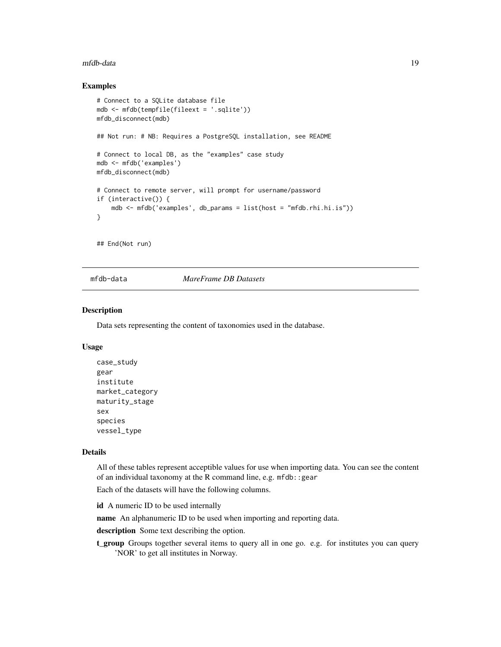#### <span id="page-18-0"></span>mfdb-data 19

# Examples

```
# Connect to a SQLite database file
mdb <- mfdb(tempfile(fileext = '.sqlite'))
mfdb_disconnect(mdb)
## Not run: # NB: Requires a PostgreSQL installation, see README
# Connect to local DB, as the "examples" case study
mdb <- mfdb('examples')
mfdb_disconnect(mdb)
# Connect to remote server, will prompt for username/password
if (interactive()) {
   mdb \leq mfdb('examples', db_params = list(host = "mfdb.rhi.hi.is"))
}
## End(Not run)
```
mfdb-data *MareFrame DB Datasets*

# Description

Data sets representing the content of taxonomies used in the database.

#### Usage

```
case_study
gear
institute
market_category
maturity_stage
sex
species
vessel_type
```
# Details

All of these tables represent acceptible values for use when importing data. You can see the content of an individual taxonomy at the R command line, e.g. mfdb::gear

Each of the datasets will have the following columns.

id A numeric ID to be used internally

name An alphanumeric ID to be used when importing and reporting data.

description Some text describing the option.

t\_group Groups together several items to query all in one go. e.g. for institutes you can query 'NOR' to get all institutes in Norway.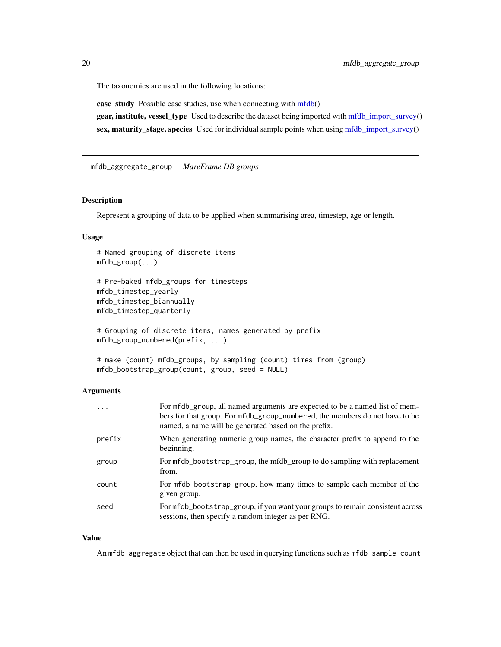<span id="page-19-0"></span>The taxonomies are used in the following locations:

case\_study Possible case studies, use when connecting with [mfdb\(](#page-16-1))

gear, institute, vessel\_type Used to describe the dataset being imported with [mfdb\\_import\\_survey\(](#page-27-1)) sex, maturity\_stage, species Used for individual sample points when using [mfdb\\_import\\_survey\(](#page-27-1))

mfdb\_aggregate\_group *MareFrame DB groups*

#### Description

Represent a grouping of data to be applied when summarising area, timestep, age or length.

# Usage

```
# Named grouping of discrete items
mfdb_group(...)
# Pre-baked mfdb_groups for timesteps
mfdb_timestep_yearly
mfdb_timestep_biannually
mfdb_timestep_quarterly
# Grouping of discrete items, names generated by prefix
mfdb_group_numbered(prefix, ...)
# make (count) mfdb_groups, by sampling (count) times from (group)
```
# mfdb\_bootstrap\_group(count, group, seed = NULL)

# Arguments

| $\ddots$ . | For mfdb_group, all named arguments are expected to be a named list of mem-<br>bers for that group. For mfdb_group_numbered, the members do not have to be<br>named, a name will be generated based on the prefix. |
|------------|--------------------------------------------------------------------------------------------------------------------------------------------------------------------------------------------------------------------|
| prefix     | When generating numeric group names, the character prefix to append to the<br>beginning.                                                                                                                           |
| group      | For mfdb_bootstrap_group, the mfdb_group to do sampling with replacement<br>from.                                                                                                                                  |
| count      | For mfdb_bootstrap_group, how many times to sample each member of the<br>given group.                                                                                                                              |
| seed       | For mfdb_bootstrap_group, if you want your groups to remain consistent across<br>sessions, then specify a random integer as per RNG.                                                                               |

# Value

An mfdb\_aggregate object that can then be used in querying functions such as mfdb\_sample\_count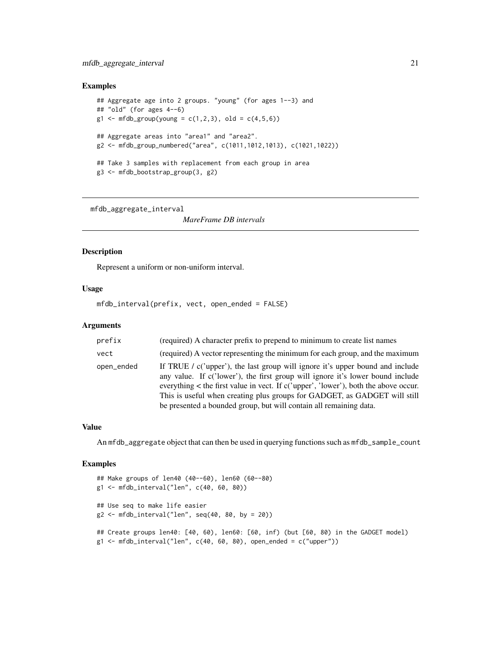# <span id="page-20-0"></span>Examples

```
## Aggregate age into 2 groups. "young" (for ages 1--3) and
## "old" (for ages 4--6)
g1 \leq mfdb_group(young = c(1,2,3), old = c(4,5,6))## Aggregate areas into "area1" and "area2".
g2 <- mfdb_group_numbered("area", c(1011,1012,1013), c(1021,1022))
## Take 3 samples with replacement from each group in area
g3 <- mfdb_bootstrap_group(3, g2)
```
mfdb\_aggregate\_interval

*MareFrame DB intervals*

# Description

Represent a uniform or non-uniform interval.

# Usage

mfdb\_interval(prefix, vect, open\_ended = FALSE)

# **Arguments**

| prefix     | (required) A character prefix to prepend to minimum to create list names                                                                                                                                                                                                                                                                                                                                         |
|------------|------------------------------------------------------------------------------------------------------------------------------------------------------------------------------------------------------------------------------------------------------------------------------------------------------------------------------------------------------------------------------------------------------------------|
| vect       | (required) A vector representing the minimum for each group, and the maximum                                                                                                                                                                                                                                                                                                                                     |
| open_ended | If TRUE / $c$ ('upper'), the last group will ignore it's upper bound and include<br>any value. If c('lower'), the first group will ignore it's lower bound include<br>everything $\lt$ the first value in vect. If c('upper', 'lower'), both the above occur.<br>This is useful when creating plus groups for GADGET, as GADGET will still<br>be presented a bounded group, but will contain all remaining data. |

# Value

An mfdb\_aggregate object that can then be used in querying functions such as mfdb\_sample\_count

```
## Make groups of len40 (40--60), len60 (60--80)
g1 <- mfdb_interval("len", c(40, 60, 80))
## Use seq to make life easier
g2 \leq mfdb_interval("len", seq(40, 80, by = 20))## Create groups len40: [40, 60), len60: [60, inf) (but [60, 80) in the GADGET model)
g1 \leq mfdb_interval("len", c(40, 60, 80), open_ended = c("upper"))
```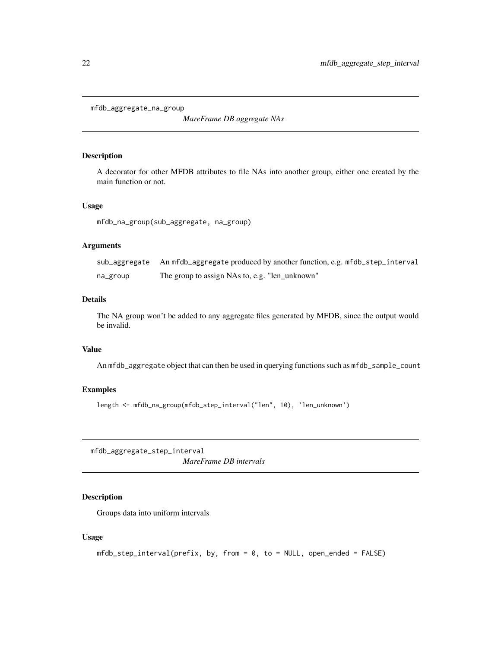```
mfdb_aggregate_na_group
```
*MareFrame DB aggregate NAs*

# Description

A decorator for other MFDB attributes to file NAs into another group, either one created by the main function or not.

# Usage

mfdb\_na\_group(sub\_aggregate, na\_group)

# Arguments

|          | sub_aggregate An mfdb_aggregate produced by another function, e.g. mfdb_step_interval |
|----------|---------------------------------------------------------------------------------------|
| na_group | The group to assign NAs to, e.g. "len unknown"                                        |

# Details

The NA group won't be added to any aggregate files generated by MFDB, since the output would be invalid.

# Value

An mfdb\_aggregate object that can then be used in querying functions such as mfdb\_sample\_count

# Examples

length <- mfdb\_na\_group(mfdb\_step\_interval("len", 10), 'len\_unknown')

mfdb\_aggregate\_step\_interval *MareFrame DB intervals*

# Description

Groups data into uniform intervals

# Usage

```
mfdb\_step\_interval(prefix, by, from = 0, to = NULL, open\_ended = FALSE)
```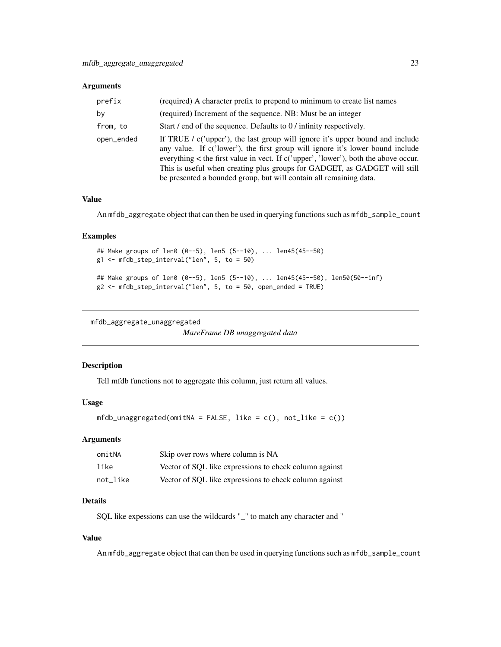# <span id="page-22-0"></span>Arguments

| prefix     | (required) A character prefix to prepend to minimum to create list names                                                                                                                                                                                                                                                                                                                                     |
|------------|--------------------------------------------------------------------------------------------------------------------------------------------------------------------------------------------------------------------------------------------------------------------------------------------------------------------------------------------------------------------------------------------------------------|
| by         | (required) Increment of the sequence. NB: Must be an integer                                                                                                                                                                                                                                                                                                                                                 |
| from, to   | Start / end of the sequence. Defaults to 0 / infinity respectively.                                                                                                                                                                                                                                                                                                                                          |
| open_ended | If TRUE / $c$ ('upper'), the last group will ignore it's upper bound and include<br>any value. If c('lower'), the first group will ignore it's lower bound include<br>everything < the first value in vect. If c('upper', 'lower'), both the above occur.<br>This is useful when creating plus groups for GADGET, as GADGET will still<br>be presented a bounded group, but will contain all remaining data. |

# Value

An mfdb\_aggregate object that can then be used in querying functions such as mfdb\_sample\_count

### Examples

```
## Make groups of len0 (0--5), len5 (5--10), ... len45(45--50)
g1 <- mfdb_step_interval("len", 5, to = 50)
## Make groups of len0 (0--5), len5 (5--10), ... len45(45--50), len50(50--inf)
g2 \leq mfdb_step_interval("len", 5, to = 50, open-ended = TRUE)
```
mfdb\_aggregate\_unaggregated

*MareFrame DB unaggregated data*

# Description

Tell mfdb functions not to aggregate this column, just return all values.

# Usage

```
mfdb\_unaggregated(omitNA = FALSE, like = c(), not\_like = c())
```
# Arguments

| omitNA   | Skip over rows where column is NA                      |
|----------|--------------------------------------------------------|
| like     | Vector of SQL like expressions to check column against |
| not like | Vector of SOL like expressions to check column against |

# Details

SQL like expessions can use the wildcards "\_" to match any character and "

# Value

An mfdb\_aggregate object that can then be used in querying functions such as mfdb\_sample\_count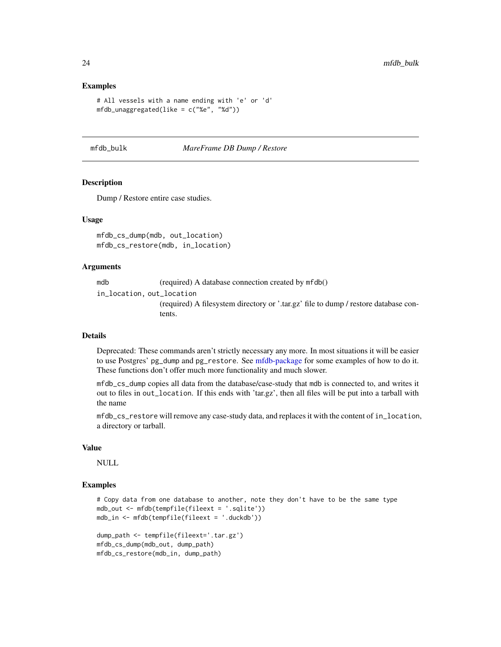# Examples

```
# All vessels with a name ending with 'e' or 'd'
mfdb\_unaggregated(like = c("%e", "%d"))
```
#### mfdb\_bulk *MareFrame DB Dump / Restore*

#### Description

Dump / Restore entire case studies.

# Usage

mfdb\_cs\_dump(mdb, out\_location) mfdb\_cs\_restore(mdb, in\_location)

## Arguments

mdb (required) A database connection created by mfdb()

in\_location, out\_location

(required) A filesystem directory or '.tar.gz' file to dump / restore database contents.

# Details

Deprecated: These commands aren't strictly necessary any more. In most situations it will be easier to use Postgres' pg\_dump and pg\_restore. See [mfdb-package](#page-1-1) for some examples of how to do it. These functions don't offer much more functionality and much slower.

mfdb\_cs\_dump copies all data from the database/case-study that mdb is connected to, and writes it out to files in out\_location. If this ends with 'tar.gz', then all files will be put into a tarball with the name

mfdb\_cs\_restore will remove any case-study data, and replaces it with the content of in\_location, a directory or tarball.

#### Value

NULL

```
# Copy data from one database to another, note they don't have to be the same type
mdb_out <- mfdb(tempfile(fileext = '.sqlite'))
mdb_in <- mfdb(tempfile(fileext = '.duckdb'))
```

```
dump_path <- tempfile(fileext='.tar.gz')
mfdb_cs_dump(mdb_out, dump_path)
mfdb_cs_restore(mdb_in, dump_path)
```
<span id="page-23-0"></span>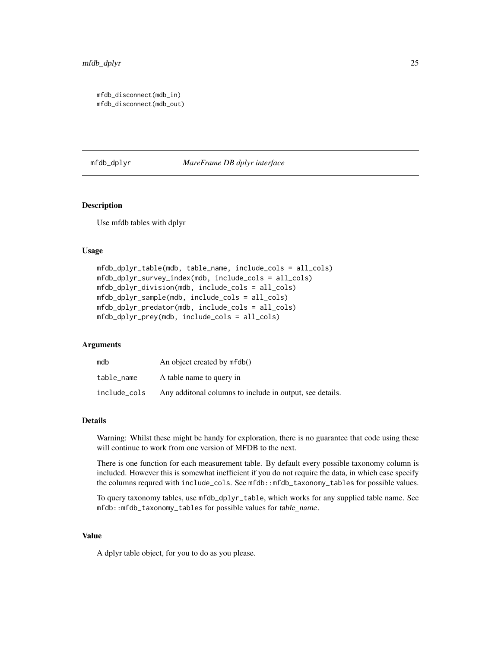```
mfdb_disconnect(mdb_in)
mfdb_disconnect(mdb_out)
```
# mfdb\_dplyr *MareFrame DB dplyr interface*

# Description

Use mfdb tables with dplyr

# Usage

```
mfdb_dplyr_table(mdb, table_name, include_cols = all_cols)
mfdb_dplyr_survey_index(mdb, include_cols = all_cols)
mfdb_dplyr_division(mdb, include_cols = all_cols)
mfdb_dplyr_sample(mdb, include_cols = all_cols)
mfdb_dplyr_predator(mdb, include_cols = all_cols)
mfdb_dplyr_prey(mdb, include_cols = all_cols)
```
# Arguments

| mdb          | An object created by mfdb()                               |
|--------------|-----------------------------------------------------------|
| table name   | A table name to query in                                  |
| include_cols | Any additional columns to include in output, see details. |

#### Details

Warning: Whilst these might be handy for exploration, there is no guarantee that code using these will continue to work from one version of MFDB to the next.

There is one function for each measurement table. By default every possible taxonomy column is included. However this is somewhat inefficient if you do not require the data, in which case specify the columns requred with include\_cols. See mfdb::mfdb\_taxonomy\_tables for possible values.

To query taxonomy tables, use mfdb\_dplyr\_table, which works for any supplied table name. See mfdb::mfdb\_taxonomy\_tables for possible values for table\_name.

# Value

A dplyr table object, for you to do as you please.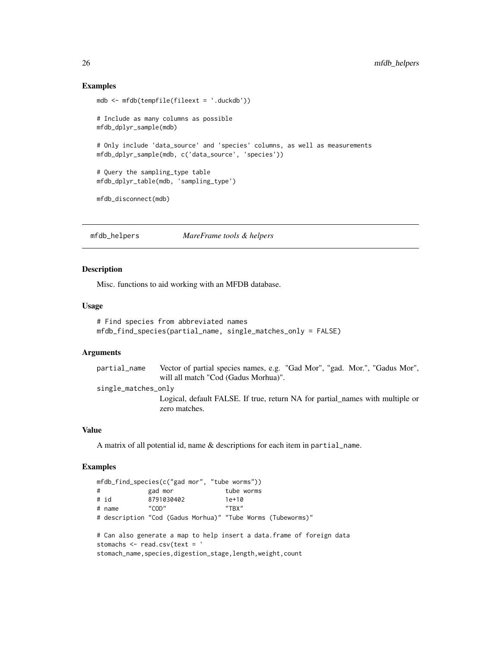# Examples

```
mdb <- mfdb(tempfile(fileext = '.duckdb'))
# Include as many columns as possible
mfdb_dplyr_sample(mdb)
# Only include 'data_source' and 'species' columns, as well as measurements
mfdb_dplyr_sample(mdb, c('data_source', 'species'))
# Query the sampling_type table
mfdb_dplyr_table(mdb, 'sampling_type')
mfdb_disconnect(mdb)
```
mfdb\_helpers *MareFrame tools & helpers*

# Description

Misc. functions to aid working with an MFDB database.

#### Usage

```
# Find species from abbreviated names
mfdb_find_species(partial_name, single_matches_only = FALSE)
```
### Arguments

partial\_name Vector of partial species names, e.g. "Gad Mor", "gad. Mor.", "Gadus Mor", will all match "Cod (Gadus Morhua)". single\_matches\_only

> Logical, default FALSE. If true, return NA for partial\_names with multiple or zero matches.

# Value

A matrix of all potential id, name & descriptions for each item in partial\_name.

```
mfdb_find_species(c("gad mor", "tube worms"))
# gad mor tube worms
# id 8791030402 1e+10
# name "COD" "TBX"
# description "Cod (Gadus Morhua)" "Tube Worms (Tubeworms)"
# Can also generate a map to help insert a data.frame of foreign data
stomachs <- read.csv(text = '
stomach_name, species,digestion_stage, length, weight, count
```
<span id="page-25-0"></span>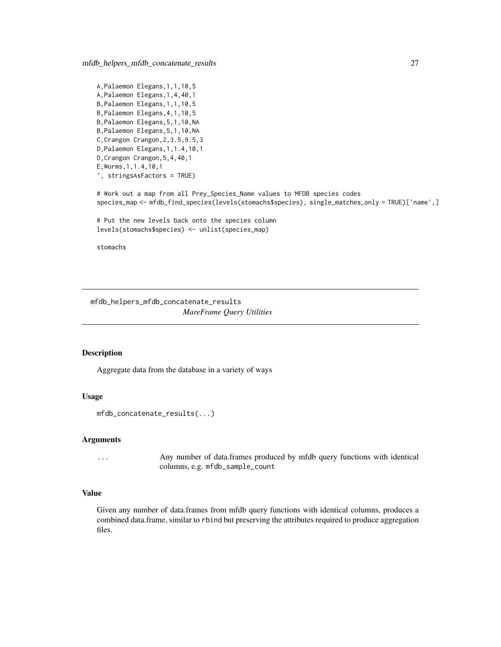<span id="page-26-0"></span>mfdb\_helpers\_mfdb\_concatenate\_results 27

```
A,Palaemon Elegans,1,1,10,5
A,Palaemon Elegans,1,4,40,1
B,Palaemon Elegans,1,1,10,5
B,Palaemon Elegans,4,1,10,5
B,Palaemon Elegans,5,1,10,NA
B,Palaemon Elegans,5,1,10,NA
C,Crangon Crangon,2,3.5,9.5,3
D,Palaemon Elegans,1,1.4,10,1
D,Crangon Crangon,5,4,40,1
E,Worms,1,1.4,10,1
', stringsAsFactors = TRUE)
```
# Work out a map from all Prey\_Species\_Name values to MFDB species codes species\_map <- mfdb\_find\_species(levels(stomachs\$species), single\_matches\_only = TRUE)['name',]

```
# Put the new levels back onto the species column
levels(stomachs$species) <- unlist(species_map)
```
stomachs

mfdb\_helpers\_mfdb\_concatenate\_results *MareFrame Query Utilities*

# Description

Aggregate data from the database in a variety of ways

# Usage

```
mfdb_concatenate_results(...)
```
#### Arguments

... Any number of data.frames produced by mfdb query functions with identical columns, e.g. mfdb\_sample\_count

#### Value

Given any number of data.frames from mfdb query functions with identical columns, produces a combined data.frame, similar to rbind but preserving the attributes required to produce aggregation files.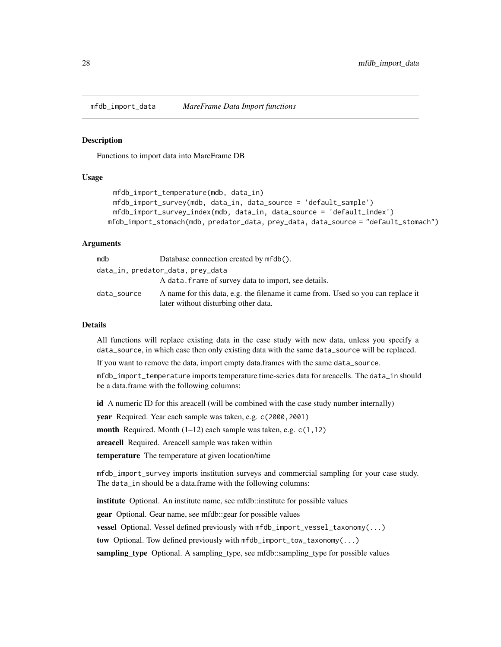<span id="page-27-0"></span>

#### <span id="page-27-1"></span>**Description**

Functions to import data into MareFrame DB

# Usage

```
mfdb_import_temperature(mdb, data_in)
 mfdb_import_survey(mdb, data_in, data_source = 'default_sample')
 mfdb_import_survey_index(mdb, data_in, data_source = 'default_index')
mfdb_import_stomach(mdb, predator_data, prey_data, data_source = "default_stomach")
```
#### Arguments

| mdb         | Database connection created by mfdb().                                                                                   |
|-------------|--------------------------------------------------------------------------------------------------------------------------|
|             | data_in, predator_data, prey_data                                                                                        |
|             | A data, frame of survey data to import, see details.                                                                     |
| data_source | A name for this data, e.g. the filename it came from. Used so you can replace it<br>later without disturbing other data. |

#### Details

All functions will replace existing data in the case study with new data, unless you specify a data\_source, in which case then only existing data with the same data\_source will be replaced.

If you want to remove the data, import empty data.frames with the same data\_source.

mfdb\_import\_temperature imports temperature time-series data for areacells. The data\_in should be a data.frame with the following columns:

id A numeric ID for this areacell (will be combined with the case study number internally)

year Required. Year each sample was taken, e.g. c(2000, 2001)

month Required. Month (1–12) each sample was taken, e.g. c(1,12)

areacell Required. Areacell sample was taken within

temperature The temperature at given location/time

mfdb\_import\_survey imports institution surveys and commercial sampling for your case study. The data\_in should be a data.frame with the following columns:

institute Optional. An institute name, see mfdb::institute for possible values

gear Optional. Gear name, see mfdb::gear for possible values

vessel Optional. Vessel defined previously with mfdb\_import\_vessel\_taxonomy(...)

tow Optional. Tow defined previously with mfdb\_import\_tow\_taxonomy(...)

sampling\_type Optional. A sampling\_type, see mfdb::sampling\_type for possible values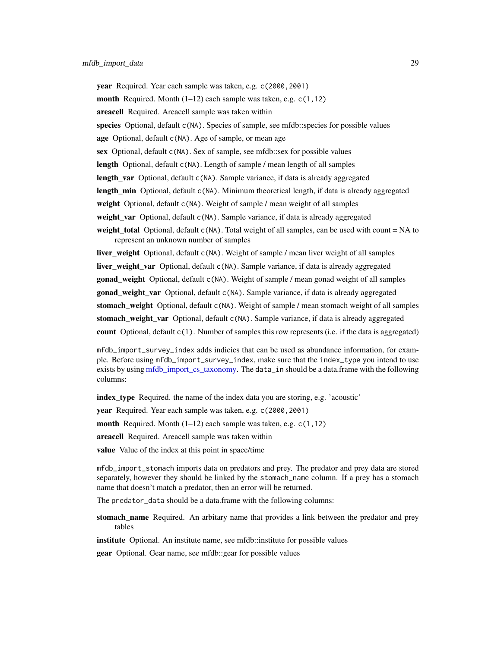<span id="page-28-0"></span>year Required. Year each sample was taken, e.g. c(2000, 2001) month Required. Month  $(1-12)$  each sample was taken, e.g.  $c(1,12)$ areacell Required. Areacell sample was taken within species Optional, default c(NA). Species of sample, see mfdb::species for possible values age Optional, default c(NA). Age of sample, or mean age sex Optional, default c(NA). Sex of sample, see mfdb::sex for possible values length Optional, default c(NA). Length of sample / mean length of all samples length\_var Optional, default c(NA). Sample variance, if data is already aggregated **length\_min** Optional, default c(NA). Minimum theoretical length, if data is already aggregated weight Optional, default c(NA). Weight of sample / mean weight of all samples weight\_var Optional, default c(NA). Sample variance, if data is already aggregated weight total Optional, default  $c(NA)$ . Total weight of all samples, can be used with count = NA to represent an unknown number of samples liver\_weight Optional, default c(NA). Weight of sample / mean liver weight of all samples **liver\_weight\_var** Optional, default c(NA). Sample variance, if data is already aggregated gonad\_weight Optional, default c(NA). Weight of sample / mean gonad weight of all samples gonad\_weight\_var Optional, default c(NA). Sample variance, if data is already aggregated stomach\_weight Optional, default c(NA). Weight of sample / mean stomach weight of all samples

stomach\_weight\_var Optional, default c(NA). Sample variance, if data is already aggregated

count Optional, default c(1). Number of samples this row represents (i.e. if the data is aggregated)

mfdb\_import\_survey\_index adds indicies that can be used as abundance information, for example. Before using mfdb\_import\_survey\_index, make sure that the index\_type you intend to use exists by using mfdb import cs taxonomy. The data<sub>cin</sub> should be a data.frame with the following columns:

index\_type Required. the name of the index data you are storing, e.g. 'acoustic'

year Required. Year each sample was taken, e.g. c(2000, 2001)

**month** Required. Month  $(1-12)$  each sample was taken, e.g.  $c(1,12)$ 

areacell Required. Areacell sample was taken within

value Value of the index at this point in space/time

mfdb\_import\_stomach imports data on predators and prey. The predator and prey data are stored separately, however they should be linked by the stomach\_name column. If a prey has a stomach name that doesn't match a predator, then an error will be returned.

The predator\_data should be a data.frame with the following columns:

stomach\_name Required. An arbitary name that provides a link between the predator and prey tables

institute Optional. An institute name, see mfdb::institute for possible values

gear Optional. Gear name, see mfdb::gear for possible values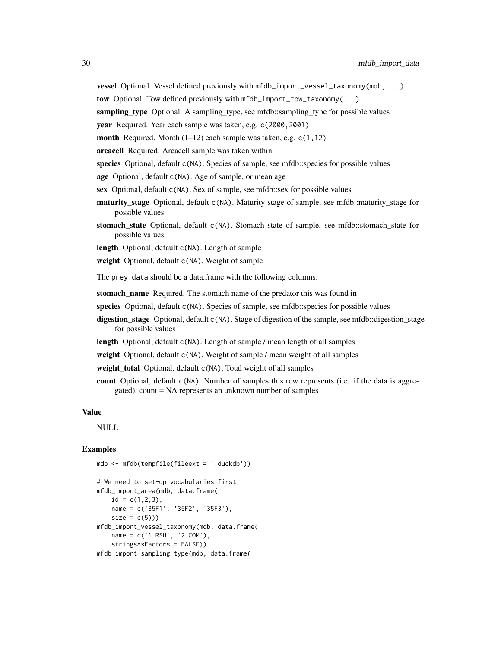vessel Optional. Vessel defined previously with mfdb\_import\_vessel\_taxonomy(mdb, ...)

tow Optional. Tow defined previously with mfdb\_import\_tow\_taxonomy(...)

sampling\_type Optional. A sampling\_type, see mfdb::sampling\_type for possible values

year Required. Year each sample was taken, e.g. c(2000, 2001)

**month** Required. Month  $(1-12)$  each sample was taken, e.g.  $c(1,12)$ 

areacell Required. Areacell sample was taken within

species Optional, default c(NA). Species of sample, see mfdb::species for possible values

- age Optional, default c(NA). Age of sample, or mean age
- sex Optional, default c(NA). Sex of sample, see mfdb::sex for possible values
- maturity\_stage Optional, default c(NA). Maturity stage of sample, see mfdb::maturity\_stage for possible values
- stomach\_state Optional, default c(NA). Stomach state of sample, see mfdb::stomach\_state for possible values

length Optional, default c(NA). Length of sample

weight Optional, default c(NA). Weight of sample

The prey\_data should be a data.frame with the following columns:

stomach name Required. The stomach name of the predator this was found in

- species Optional, default c(NA). Species of sample, see mfdb::species for possible values
- digestion\_stage Optional, default c(NA). Stage of digestion of the sample, see mfdb::digestion\_stage for possible values
- length Optional, default c(NA). Length of sample / mean length of all samples
- weight Optional, default c(NA). Weight of sample / mean weight of all samples
- weight\_total Optional, default c(NA). Total weight of all samples
- count Optional, default c(NA). Number of samples this row represents (i.e. if the data is aggregated), count = NA represents an unknown number of samples

#### Value

NULL

```
mdb <- mfdb(tempfile(fileext = '.duckdb'))
```

```
# We need to set-up vocabularies first
mfdb_import_area(mdb, data.frame(
   id = c(1, 2, 3),
   name = c('35F1', '35F2', '35F3'),
    size = c(5))mfdb_import_vessel_taxonomy(mdb, data.frame(
   name = c('1.RSH', '2.COM'),
   stringsAsFactors = FALSE))
mfdb_import_sampling_type(mdb, data.frame(
```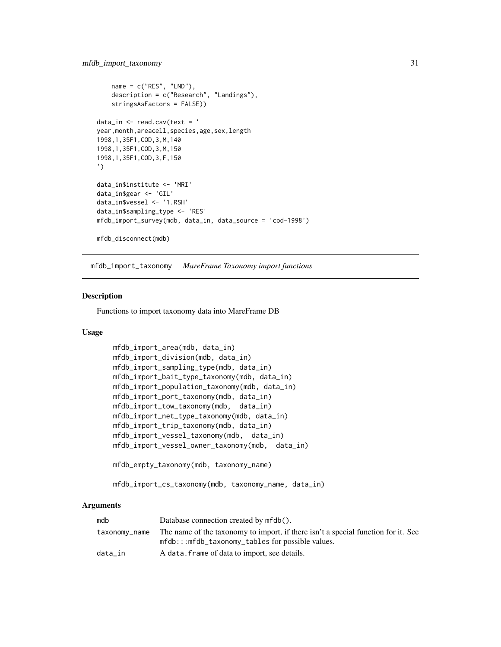```
name = c("RES", "LND"),
    description = c("Research", "Landings"),
    stringsAsFactors = FALSE))
data_in \leftarrow read.csv(text = 'year, month, areacell, species, age, sex, length
1998,1,35F1,COD,3,M,140
1998,1,35F1,COD,3,M,150
1998,1,35F1,COD,3,F,150
')
data_in$institute <- 'MRI'
data_in$gear <- 'GIL'
data_in$vessel <- '1.RSH'
data_in$sampling_type <- 'RES'
mfdb_import_survey(mdb, data_in, data_source = 'cod-1998')
mfdb_disconnect(mdb)
```
mfdb\_import\_taxonomy *MareFrame Taxonomy import functions*

# <span id="page-30-1"></span>Description

Functions to import taxonomy data into MareFrame DB

# Usage

```
mfdb_import_area(mdb, data_in)
mfdb_import_division(mdb, data_in)
mfdb_import_sampling_type(mdb, data_in)
mfdb_import_bait_type_taxonomy(mdb, data_in)
mfdb_import_population_taxonomy(mdb, data_in)
mfdb_import_port_taxonomy(mdb, data_in)
mfdb_import_tow_taxonomy(mdb, data_in)
mfdb_import_net_type_taxonomy(mdb, data_in)
mfdb_import_trip_taxonomy(mdb, data_in)
mfdb_import_vessel_taxonomy(mdb, data_in)
mfdb_import_vessel_owner_taxonomy(mdb, data_in)
mfdb_empty_taxonomy(mdb, taxonomy_name)
```
mfdb\_import\_cs\_taxonomy(mdb, taxonomy\_name, data\_in)

# Arguments

| mdb     | Database connection created by mfdb().                                                          |
|---------|-------------------------------------------------------------------------------------------------|
|         | taxonomy_name The name of the taxonomy to import, if there isn't a special function for it. See |
|         | $mfdb$ ::: $mfdb_taxonomy_tables$ for possible values.                                          |
| data in | A data. frame of data to import, see details.                                                   |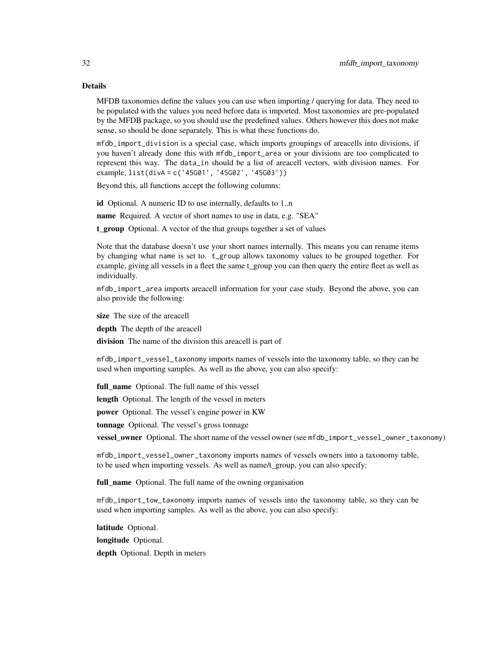# Details

MFDB taxonomies define the values you can use when importing / querying for data. They need to be populated with the values you need before data is imported. Most taxonomies are pre-populated by the MFDB package, so you should use the predefined values. Others however this does not make sense, so should be done separately. This is what these functions do.

mfdb\_import\_division is a special case, which imports groupings of areacells into divisions, if you haven't already done this with mfdb\_import\_area or your divisions are too complicated to represent this way. The data\_in should be a list of areacell vectors, with division names. For example, list(divA = c('45G01', '45G02', '45G03'))

Beyond this, all functions accept the following columns:

id Optional. A numeric ID to use internally, defaults to 1..n

name Required. A vector of short names to use in data, e.g. "SEA"

t\_group Optional. A vector of the that groups together a set of values

Note that the database doesn't use your short names internally. This means you can rename items by changing what name is set to. t\_group allows taxonomy values to be grouped together. For example, giving all vessels in a fleet the same t\_group you can then query the entire fleet as well as individually.

mfdb\_import\_area imports areacell information for your case study. Beyond the above, you can also provide the following:

size The size of the areacell

depth The depth of the areacell

division The name of the division this areacell is part of

mfdb\_import\_vessel\_taxonomy imports names of vessels into the taxonomy table, so they can be used when importing samples. As well as the above, you can also specify:

full\_name Optional. The full name of this vessel

length Optional. The length of the vessel in meters

power Optional. The vessel's engine power in KW

tonnage Optional. The vessel's gross tonnage

vessel\_owner Optional. The short name of the vessel owner (see mfdb\_import\_vessel\_owner\_taxonomy)

mfdb\_import\_vessel\_owner\_taxonomy imports names of vessels owners into a taxonomy table, to be used when importing vessels. As well as name/t\_group, you can also specify:

full name Optional. The full name of the owning organisation

mfdb\_import\_tow\_taxonomy imports names of vessels into the taxonomy table, so they can be used when importing samples. As well as the above, you can also specify:

latitude Optional.

longitude Optional.

depth Optional. Depth in meters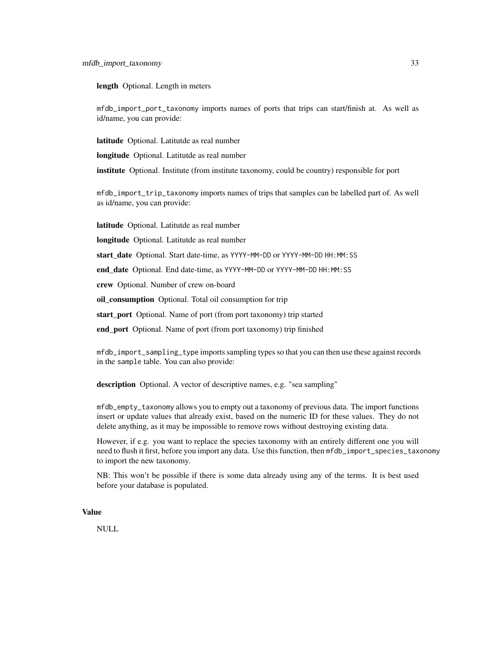length Optional. Length in meters

mfdb\_import\_port\_taxonomy imports names of ports that trips can start/finish at. As well as id/name, you can provide:

latitude Optional. Latitutde as real number

longitude Optional. Latitutde as real number

institute Optional. Institute (from institute taxonomy, could be country) responsible for port

mfdb\_import\_trip\_taxonomy imports names of trips that samples can be labelled part of. As well as id/name, you can provide:

latitude Optional. Latitutde as real number

longitude Optional. Latitutde as real number

start\_date Optional. Start date-time, as YYYY-MM-DD or YYYY-MM-DD HH:MM: SS

end\_date Optional. End date-time, as YYYY-MM-DD or YYYY-MM-DD HH:MM:SS

crew Optional. Number of crew on-board

oil\_consumption Optional. Total oil consumption for trip

start\_port Optional. Name of port (from port taxonomy) trip started

end port Optional. Name of port (from port taxonomy) trip finished

mfdb\_import\_sampling\_type imports sampling types so that you can then use these against records in the sample table. You can also provide:

description Optional. A vector of descriptive names, e.g. "sea sampling"

mfdb\_empty\_taxonomy allows you to empty out a taxonomy of previous data. The import functions insert or update values that already exist, based on the numeric ID for these values. They do not delete anything, as it may be impossible to remove rows without destroying existing data.

However, if e.g. you want to replace the species taxonomy with an entirely different one you will need to flush it first, before you import any data. Use this function, then mfdb\_import\_species\_taxonomy to import the new taxonomy.

NB: This won't be possible if there is some data already using any of the terms. It is best used before your database is populated.

# Value

NULL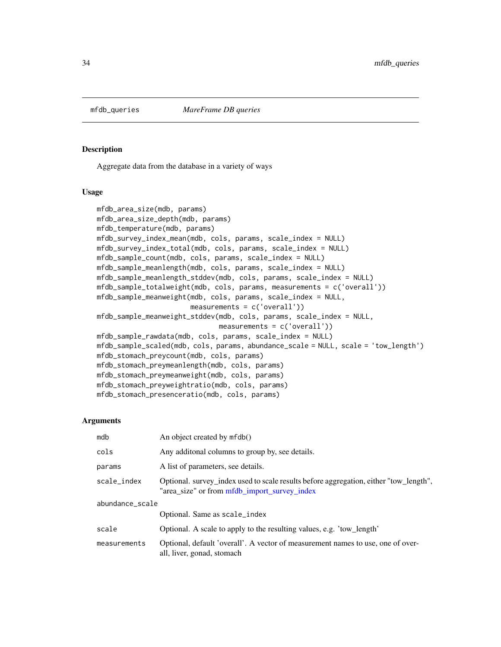<span id="page-33-0"></span>

# <span id="page-33-1"></span>Description

Aggregate data from the database in a variety of ways

# Usage

```
mfdb_area_size(mdb, params)
mfdb_area_size_depth(mdb, params)
mfdb_temperature(mdb, params)
mfdb_survey_index_mean(mdb, cols, params, scale_index = NULL)
mfdb_survey_index_total(mdb, cols, params, scale_index = NULL)
mfdb_sample_count(mdb, cols, params, scale_index = NULL)
mfdb_sample_meanlength(mdb, cols, params, scale_index = NULL)
mfdb_sample_meanlength_stddev(mdb, cols, params, scale_index = NULL)
mfdb_sample_totalweight(mdb, cols, params, measurements = c('overall'))
mfdb_sample_meanweight(mdb, cols, params, scale_index = NULL,
                       measurements = c('overall'))
mfdb_sample_meanweight_stddev(mdb, cols, params, scale_index = NULL,
                              measurements = c('overall'))
mfdb_sample_rawdata(mdb, cols, params, scale_index = NULL)
mfdb_sample_scaled(mdb, cols, params, abundance_scale = NULL, scale = 'tow_length')
mfdb_stomach_preycount(mdb, cols, params)
mfdb_stomach_preymeanlength(mdb, cols, params)
mfdb_stomach_preymeanweight(mdb, cols, params)
mfdb_stomach_preyweightratio(mdb, cols, params)
mfdb_stomach_presenceratio(mdb, cols, params)
```
# Arguments

| mdb             | An object created by mfdb()                                                                                                           |
|-----------------|---------------------------------------------------------------------------------------------------------------------------------------|
| cols            | Any additonal columns to group by, see details.                                                                                       |
| params          | A list of parameters, see details.                                                                                                    |
| scale_index     | Optional. survey_index used to scale results before aggregation, either "tow_length",<br>"area_size" or from mfdb_import_survey_index |
| abundance_scale |                                                                                                                                       |
|                 | Optional. Same as scale_index                                                                                                         |
| scale           | Optional. A scale to apply to the resulting values, e.g. 'tow_length'                                                                 |
| measurements    | Optional, default 'overall'. A vector of measurement names to use, one of over-<br>all, liver, gonad, stomach                         |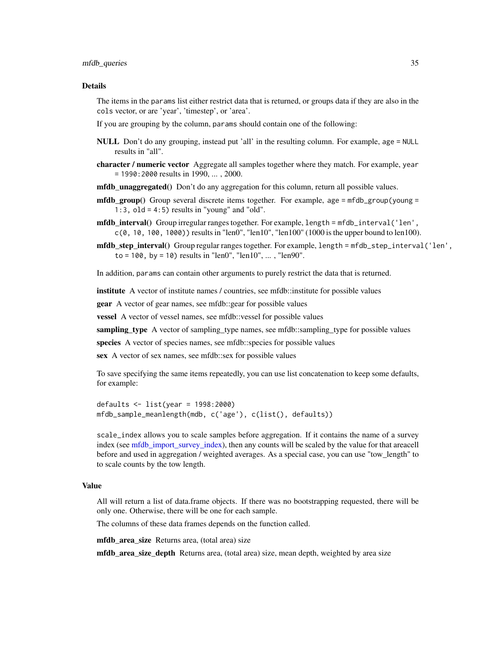#### <span id="page-34-0"></span>mfdb\_queries 35

#### Details

The items in the params list either restrict data that is returned, or groups data if they are also in the cols vector, or are 'year', 'timestep', or 'area'.

If you are grouping by the column, params should contain one of the following:

- NULL Don't do any grouping, instead put 'all' in the resulting column. For example, age = NULL results in "all".
- character / numeric vector Aggregate all samples together where they match. For example, year = 1990:2000 results in 1990, ... , 2000.
- mfdb\_unaggregated() Don't do any aggregation for this column, return all possible values.
- **mfdb** group() Group several discrete items together. For example, age =  $m$ fdb\_group(young = 1:3,  $old = 4:5$ ) results in "young" and "old".
- mfdb\_interval() Group irregular ranges together. For example, length = mfdb\_interval('len',  $c(0, 10, 100, 1000)$  results in "len0", "len10", "len100" (1000 is the upper bound to len100).
- mfdb step interval() Group regular ranges together. For example, length = mfdb\_step\_interval('len',  $to = 100$ , by = 10) results in "len0", "len10", ..., "len90".

In addition, params can contain other arguments to purely restrict the data that is returned.

institute A vector of institute names / countries, see mfdb::institute for possible values

**gear** A vector of gear names, see mfdb:: gear for possible values

vessel A vector of vessel names, see mfdb::vessel for possible values

sampling\_type A vector of sampling\_type names, see mfdb::sampling\_type for possible values

species A vector of species names, see mfdb::species for possible values

sex A vector of sex names, see mfdb::sex for possible values

To save specifying the same items repeatedly, you can use list concatenation to keep some defaults, for example:

defaults <- list(year = 1998:2000) mfdb\_sample\_meanlength(mdb, c('age'), c(list(), defaults))

scale\_index allows you to scale samples before aggregation. If it contains the name of a survey index (see [mfdb\\_import\\_survey\\_index\)](#page-27-1), then any counts will be scaled by the value for that areacell before and used in aggregation / weighted averages. As a special case, you can use "tow\_length" to to scale counts by the tow length.

# Value

All will return a list of data.frame objects. If there was no bootstrapping requested, there will be only one. Otherwise, there will be one for each sample.

The columns of these data frames depends on the function called.

mfdb area size Returns area, (total area) size

mfdb\_area\_size\_depth Returns area, (total area) size, mean depth, weighted by area size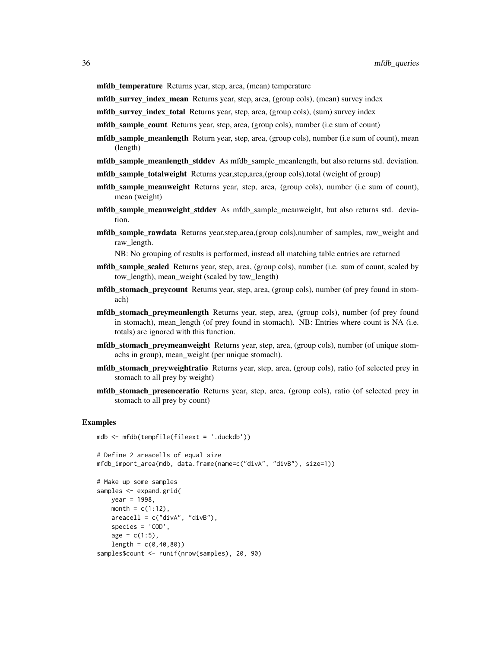**mfdb\_temperature** Returns year, step, area, (mean) temperature

mfdb\_survey\_index\_mean Returns year, step, area, (group cols), (mean) survey index

mfdb\_survey\_index\_total Returns year, step, area, (group cols), (sum) survey index

mfdb\_sample\_count Returns year, step, area, (group cols), number (i.e sum of count)

- mfdb\_sample\_meanlength Return year, step, area, (group cols), number (i.e sum of count), mean (length)
- mfdb\_sample\_meanlength\_stddev As mfdb\_sample\_meanlength, but also returns std. deviation.
- mfdb\_sample\_totalweight Returns year,step,area,(group cols),total (weight of group)
- mfdb\_sample\_meanweight Returns year, step, area, (group cols), number (i.e sum of count), mean (weight)
- mfdb\_sample\_meanweight\_stddev As mfdb\_sample\_meanweight, but also returns std. deviation.
- mfdb\_sample\_rawdata Returns year,step,area,(group cols),number of samples, raw\_weight and raw\_length.

NB: No grouping of results is performed, instead all matching table entries are returned

- **mfdb** sample scaled Returns year, step, area, (group cols), number (i.e. sum of count, scaled by tow\_length), mean\_weight (scaled by tow\_length)
- mfdb\_stomach\_preycount Returns year, step, area, (group cols), number (of prey found in stomach)
- **mfdb** stomach preymeanlength Returns year, step, area, (group cols), number (of prey found in stomach), mean\_length (of prey found in stomach). NB: Entries where count is NA (i.e. totals) are ignored with this function.
- mfdb\_stomach\_preymeanweight Returns year, step, area, (group cols), number (of unique stomachs in group), mean\_weight (per unique stomach).
- mfdb\_stomach\_preyweightratio Returns year, step, area, (group cols), ratio (of selected prey in stomach to all prey by weight)
- mfdb\_stomach\_presenceratio Returns year, step, area, (group cols), ratio (of selected prey in stomach to all prey by count)

#### Examples

```
mdb <- mfdb(tempfile(fileext = '.duckdb'))
# Define 2 areacells of equal size
mfdb_import_area(mdb, data.frame(name=c("divA", "divB"), size=1))
# Make up some samples
samples <- expand.grid(
   year = 1998,month = c(1:12),
    areacell = c("divA", "divB"),species = 'COD',
    age = c(1:5),
    length = c(0, 40, 80)
```
samples\$count <- runif(nrow(samples), 20, 90)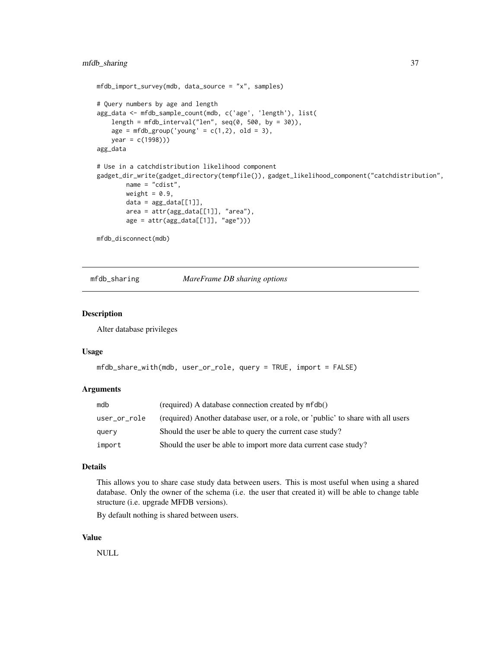```
mfdb_import_survey(mdb, data_source = "x", samples)
# Query numbers by age and length
agg_data <- mfdb_sample_count(mdb, c('age', 'length'), list(
   length = mfdb_interval("len", seq(0, 500, by = 30)),
   age = mfdb_group('young' = c(1,2), old = 3),year = c(1998)))
agg_data
# Use in a catchdistribution likelihood component
gadget_dir_write(gadget_directory(tempfile()), gadget_likelihood_component("catchdistribution",
       name = "cdist",
       weight = 0.9,
       data = agg_data[[1]],
       area = attr(agg_data[[1]], "area"),
       age = attr(agg_data[[1]], "age"))
```
mfdb\_disconnect(mdb)

mfdb\_sharing *MareFrame DB sharing options*

# Description

Alter database privileges

#### Usage

```
mfdb_share_with(mdb, user_or_role, query = TRUE, import = FALSE)
```
#### Arguments

| mdb          | (required) A database connection created by mfdb()                               |
|--------------|----------------------------------------------------------------------------------|
| user_or_role | (required) Another database user, or a role, or 'public' to share with all users |
| query        | Should the user be able to query the current case study?                         |
| import       | Should the user be able to import more data current case study?                  |

# Details

This allows you to share case study data between users. This is most useful when using a shared database. Only the owner of the schema (i.e. the user that created it) will be able to change table structure (i.e. upgrade MFDB versions).

By default nothing is shared between users.

# Value

NULL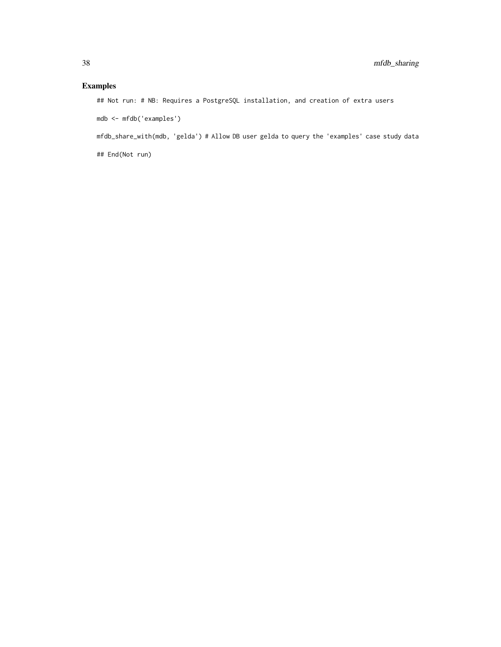# Examples

## Not run: # NB: Requires a PostgreSQL installation, and creation of extra users

mdb <- mfdb('examples')

mfdb\_share\_with(mdb, 'gelda') # Allow DB user gelda to query the 'examples' case study data

## End(Not run)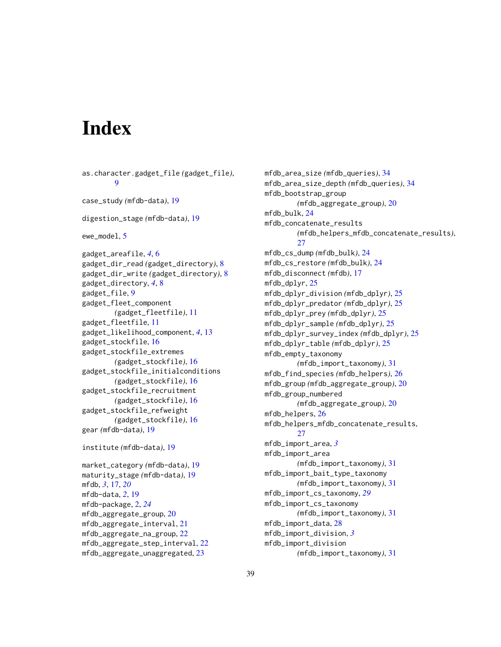# <span id="page-38-0"></span>**Index**

as.character.gadget\_file *(*gadget\_file*)*, [9](#page-8-0) case\_study *(*mfdb-data*)*, [19](#page-18-0) digestion\_stage *(*mfdb-data*)*, [19](#page-18-0) ewe\_model, [5](#page-4-0) gadget\_areafile, *[4](#page-3-0)*, [6](#page-5-0) gadget\_dir\_read *(*gadget\_directory*)*, [8](#page-7-0) gadget\_dir\_write *(*gadget\_directory*)*, [8](#page-7-0) gadget\_directory, *[4](#page-3-0)*, [8](#page-7-0) gadget\_file, [9](#page-8-0) gadget\_fleet\_component *(*gadget\_fleetfile*)*, [11](#page-10-0) gadget\_fleetfile, [11](#page-10-0) gadget\_likelihood\_component, *[4](#page-3-0)*, [13](#page-12-0) gadget\_stockfile, [16](#page-15-0) gadget\_stockfile\_extremes *(*gadget\_stockfile*)*, [16](#page-15-0) gadget\_stockfile\_initialconditions *(*gadget\_stockfile*)*, [16](#page-15-0) gadget\_stockfile\_recruitment *(*gadget\_stockfile*)*, [16](#page-15-0) gadget\_stockfile\_refweight *(*gadget\_stockfile*)*, [16](#page-15-0) gear *(*mfdb-data*)*, [19](#page-18-0) institute *(*mfdb-data*)*, [19](#page-18-0) market\_category *(*mfdb-data*)*, [19](#page-18-0) maturity\_stage *(*mfdb-data*)*, [19](#page-18-0) mfdb, *[3](#page-2-0)*, [17,](#page-16-0) *[20](#page-19-0)* mfdb-data, *[2](#page-1-0)*, [19](#page-18-0) mfdb-package, [2,](#page-1-0) *[24](#page-23-0)* mfdb\_aggregate\_group, [20](#page-19-0) mfdb\_aggregate\_interval, [21](#page-20-0) mfdb\_aggregate\_na\_group, [22](#page-21-0) mfdb\_aggregate\_step\_interval, [22](#page-21-0) mfdb\_aggregate\_unaggregated, [23](#page-22-0)

mfdb\_area\_size *(*mfdb\_queries*)*, [34](#page-33-0) mfdb\_area\_size\_depth *(*mfdb\_queries*)*, [34](#page-33-0) mfdb\_bootstrap\_group *(*mfdb\_aggregate\_group*)*, [20](#page-19-0) mfdb\_bulk, [24](#page-23-0) mfdb\_concatenate\_results *(*mfdb\_helpers\_mfdb\_concatenate\_results*)*, [27](#page-26-0) mfdb\_cs\_dump *(*mfdb\_bulk*)*, [24](#page-23-0) mfdb\_cs\_restore *(*mfdb\_bulk*)*, [24](#page-23-0) mfdb\_disconnect *(*mfdb*)*, [17](#page-16-0) mfdb\_dplyr, [25](#page-24-0) mfdb\_dplyr\_division *(*mfdb\_dplyr*)*, [25](#page-24-0) mfdb\_dplyr\_predator *(*mfdb\_dplyr*)*, [25](#page-24-0) mfdb\_dplyr\_prey *(*mfdb\_dplyr*)*, [25](#page-24-0) mfdb\_dplyr\_sample *(*mfdb\_dplyr*)*, [25](#page-24-0) mfdb\_dplyr\_survey\_index *(*mfdb\_dplyr*)*, [25](#page-24-0) mfdb\_dplyr\_table *(*mfdb\_dplyr*)*, [25](#page-24-0) mfdb\_empty\_taxonomy *(*mfdb\_import\_taxonomy*)*, [31](#page-30-0) mfdb\_find\_species *(*mfdb\_helpers*)*, [26](#page-25-0) mfdb\_group *(*mfdb\_aggregate\_group*)*, [20](#page-19-0) mfdb\_group\_numbered *(*mfdb\_aggregate\_group*)*, [20](#page-19-0) mfdb\_helpers, [26](#page-25-0) mfdb\_helpers\_mfdb\_concatenate\_results, [27](#page-26-0) mfdb\_import\_area, *[3](#page-2-0)* mfdb\_import\_area *(*mfdb\_import\_taxonomy*)*, [31](#page-30-0) mfdb\_import\_bait\_type\_taxonomy *(*mfdb\_import\_taxonomy*)*, [31](#page-30-0) mfdb\_import\_cs\_taxonomy, *[29](#page-28-0)* mfdb\_import\_cs\_taxonomy *(*mfdb\_import\_taxonomy*)*, [31](#page-30-0) mfdb\_import\_data, [28](#page-27-0) mfdb\_import\_division, *[3](#page-2-0)* mfdb\_import\_division *(*mfdb\_import\_taxonomy*)*, [31](#page-30-0)